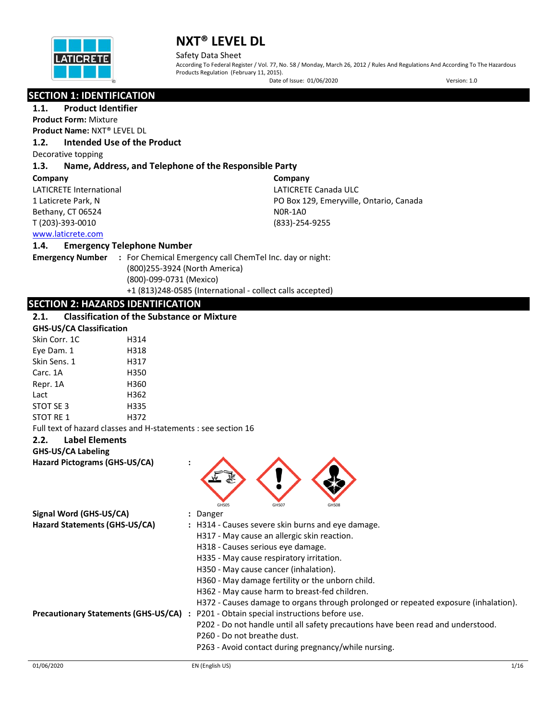

Safety Data Sheet

According To Federal Register / Vol. 77, No. 58 / Monday, March 26, 2012 / Rules And Regulations And According To The Hazardous Products Regulation (February 11, 2015).

Date of Issue: 01/06/2020 Version: 1.0

### **SECTION 1: IDENTIFICATION**

**1.1. Product Identifier**

**Product Form:** Mixture

**Product Name:** NXT® LEVEL DL

#### **1.2. Intended Use of the Product**

Decorative topping

#### **1.3. Name, Address, and Telephone of the Responsible Party**

#### **Company**

LATICRETE International 1 Laticrete Park, N Bethany, CT 06524 T (203)-393-0010

**Company** LATICRETE Canada ULC PO Box 129, Emeryville, Ontario, Canada N0R-1A0 (833)-254-9255

### [www.laticrete.com](http://www.laticrete.com/)

#### **1.4. Emergency Telephone Number**

**Emergency Number :** For Chemical Emergency call ChemTel Inc. day or night: (800)255-3924 (North America) (800)-099-0731 (Mexico) +1 (813)248-0585 (International - collect calls accepted)

### **SECTION 2: HAZARDS IDENTIFICATION**

### **2.1. Classification of the Substance or Mixture**

| <b>GHS-US/CA Classification</b> |      |  |
|---------------------------------|------|--|
| Skin Corr. 1C                   | H314 |  |
| Eye Dam. 1                      | H318 |  |
| Skin Sens. 1                    | H317 |  |
| Carc. 1A                        | H350 |  |
| Repr. 1A                        | H360 |  |
| Lact                            | H362 |  |
| STOT SE 3                       | H335 |  |
| STOT RE 1                       | H372 |  |
|                                 |      |  |

Full text of hazard classes and H-statements : see section 16

#### **2.2. Label Elements**

#### **GHS-US/CA Labeling**

**Hazard Pictograms (GHS-US/CA) :**



| Signal Word (GHS-US/CA)                     | : Danger                                                                            |
|---------------------------------------------|-------------------------------------------------------------------------------------|
| Hazard Statements (GHS-US/CA)               | : H314 - Causes severe skin burns and eye damage.                                   |
|                                             | H317 - May cause an allergic skin reaction.                                         |
|                                             | H318 - Causes serious eye damage.                                                   |
|                                             | H335 - May cause respiratory irritation.                                            |
|                                             | H350 - May cause cancer (inhalation).                                               |
|                                             | H360 - May damage fertility or the unborn child.                                    |
|                                             | H362 - May cause harm to breast-fed children.                                       |
|                                             | H372 - Causes damage to organs through prolonged or repeated exposure (inhalation). |
| <b>Precautionary Statements (GHS-US/CA)</b> | P201 - Obtain special instructions before use.                                      |
|                                             | P202 - Do not handle until all safety precautions have been read and understood.    |
|                                             | P260 - Do not breathe dust.                                                         |
|                                             | P263 - Avoid contact during pregnancy/while nursing.                                |
|                                             |                                                                                     |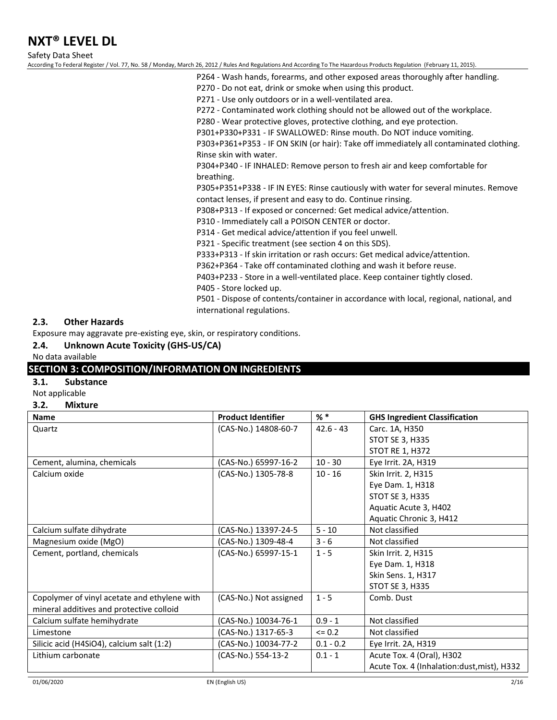Safety Data Sheet

According To Federal Register / Vol. 77, No. 58 / Monday, March 26, 2012 / Rules And Regulations And According To The Hazardous Products Regulation (February 11, 2015).

- P264 Wash hands, forearms, and other exposed areas thoroughly after handling.
- P270 Do not eat, drink or smoke when using this product.
- P271 Use only outdoors or in a well-ventilated area.

P272 - Contaminated work clothing should not be allowed out of the workplace.

P280 - Wear protective gloves, protective clothing, and eye protection.

P301+P330+P331 - IF SWALLOWED: Rinse mouth. Do NOT induce vomiting.

P303+P361+P353 - IF ON SKIN (or hair): Take off immediately all contaminated clothing. Rinse skin with water.

P304+P340 - IF INHALED: Remove person to fresh air and keep comfortable for breathing.

P305+P351+P338 - IF IN EYES: Rinse cautiously with water for several minutes. Remove contact lenses, if present and easy to do. Continue rinsing.

P308+P313 - If exposed or concerned: Get medical advice/attention.

P310 - Immediately call a POISON CENTER or doctor.

P314 - Get medical advice/attention if you feel unwell.

P321 - Specific treatment (see section 4 on this SDS).

P333+P313 - If skin irritation or rash occurs: Get medical advice/attention.

P362+P364 - Take off contaminated clothing and wash it before reuse.

P403+P233 - Store in a well-ventilated place. Keep container tightly closed.

P405 - Store locked up.

P501 - Dispose of contents/container in accordance with local, regional, national, and international regulations.

#### **2.3. Other Hazards**

Exposure may aggravate pre-existing eye, skin, or respiratory conditions.

**2.4. Unknown Acute Toxicity (GHS-US/CA)**

No data available

### **SECTION 3: COMPOSITION/INFORMATION ON INGREDIENTS**

#### **3.1. Substance**

Not applicable

#### **3.2. Mixture**

| <b>Name</b>                                  | <b>Product Identifier</b> | $%$ $*$     | <b>GHS Ingredient Classification</b>       |
|----------------------------------------------|---------------------------|-------------|--------------------------------------------|
| Quartz                                       | (CAS-No.) 14808-60-7      | $42.6 - 43$ | Carc. 1A, H350                             |
|                                              |                           |             | STOT SE 3, H335                            |
|                                              |                           |             | STOT RE 1, H372                            |
| Cement, alumina, chemicals                   | (CAS-No.) 65997-16-2      | $10 - 30$   | Eye Irrit. 2A, H319                        |
| Calcium oxide                                | (CAS-No.) 1305-78-8       | $10 - 16$   | Skin Irrit. 2, H315                        |
|                                              |                           |             | Eye Dam. 1, H318                           |
|                                              |                           |             | <b>STOT SE 3, H335</b>                     |
|                                              |                           |             | Aquatic Acute 3, H402                      |
|                                              |                           |             | Aquatic Chronic 3, H412                    |
| Calcium sulfate dihydrate                    | (CAS-No.) 13397-24-5      | $5 - 10$    | Not classified                             |
| Magnesium oxide (MgO)                        | (CAS-No.) 1309-48-4       | $3 - 6$     | Not classified                             |
| Cement, portland, chemicals                  | (CAS-No.) 65997-15-1      | $1 - 5$     | Skin Irrit. 2, H315                        |
|                                              |                           |             | Eye Dam. 1, H318                           |
|                                              |                           |             | Skin Sens. 1, H317                         |
|                                              |                           |             | STOT SE 3, H335                            |
| Copolymer of vinyl acetate and ethylene with | (CAS-No.) Not assigned    | $1 - 5$     | Comb. Dust                                 |
| mineral additives and protective colloid     |                           |             |                                            |
| Calcium sulfate hemihydrate                  | (CAS-No.) 10034-76-1      | $0.9 - 1$   | Not classified                             |
| Limestone                                    | (CAS-No.) 1317-65-3       | $\leq 0.2$  | Not classified                             |
| Silicic acid (H4SiO4), calcium salt (1:2)    | (CAS-No.) 10034-77-2      | $0.1 - 0.2$ | Eye Irrit. 2A, H319                        |
| Lithium carbonate                            | (CAS-No.) 554-13-2        | $0.1 - 1$   | Acute Tox. 4 (Oral), H302                  |
|                                              |                           |             | Acute Tox. 4 (Inhalation:dust, mist), H332 |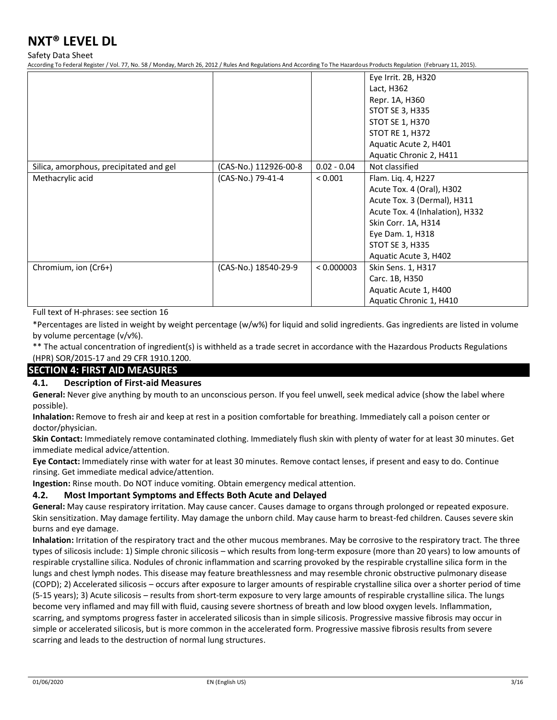Safety Data Sheet

According To Federal Register / Vol. 77, No. 58 / Monday, March 26, 2012 / Rules And Regulations And According To The Hazardous Products Regulation (February 11, 2015).

|                                         |                       |               | Eye Irrit. 2B, H320             |
|-----------------------------------------|-----------------------|---------------|---------------------------------|
|                                         |                       |               | Lact, H362                      |
|                                         |                       |               | Repr. 1A, H360                  |
|                                         |                       |               | STOT SE 3, H335                 |
|                                         |                       |               | STOT SE 1, H370                 |
|                                         |                       |               | <b>STOT RE 1, H372</b>          |
|                                         |                       |               | Aquatic Acute 2, H401           |
|                                         |                       |               | Aquatic Chronic 2, H411         |
| Silica, amorphous, precipitated and gel | (CAS-No.) 112926-00-8 | $0.02 - 0.04$ | Not classified                  |
| Methacrylic acid                        | (CAS-No.) 79-41-4     | < 0.001       | Flam. Liq. 4, H227              |
|                                         |                       |               | Acute Tox. 4 (Oral), H302       |
|                                         |                       |               | Acute Tox. 3 (Dermal), H311     |
|                                         |                       |               | Acute Tox. 4 (Inhalation), H332 |
|                                         |                       |               | Skin Corr. 1A, H314             |
|                                         |                       |               | Eye Dam. 1, H318                |
|                                         |                       |               | STOT SE 3, H335                 |
|                                         |                       |               | Aquatic Acute 3, H402           |
| Chromium, ion (Cr6+)                    | (CAS-No.) 18540-29-9  | < 0.000003    | Skin Sens. 1, H317              |
|                                         |                       |               | Carc. 1B, H350                  |
|                                         |                       |               | Aquatic Acute 1, H400           |
|                                         |                       |               | Aquatic Chronic 1, H410         |

Full text of H-phrases: see section 16

\*Percentages are listed in weight by weight percentage (w/w%) for liquid and solid ingredients. Gas ingredients are listed in volume by volume percentage (v/v%).

\*\* The actual concentration of ingredient(s) is withheld as a trade secret in accordance with the Hazardous Products Regulations (HPR) SOR/2015-17 and 29 CFR 1910.1200.

### **SECTION 4: FIRST AID MEASURES**

#### **4.1. Description of First-aid Measures**

**General:** Never give anything by mouth to an unconscious person. If you feel unwell, seek medical advice (show the label where possible).

**Inhalation:** Remove to fresh air and keep at rest in a position comfortable for breathing. Immediately call a poison center or doctor/physician.

**Skin Contact:** Immediately remove contaminated clothing. Immediately flush skin with plenty of water for at least 30 minutes. Get immediate medical advice/attention.

**Eye Contact:** Immediately rinse with water for at least 30 minutes. Remove contact lenses, if present and easy to do. Continue rinsing. Get immediate medical advice/attention.

**Ingestion:** Rinse mouth. Do NOT induce vomiting. Obtain emergency medical attention.

#### **4.2. Most Important Symptoms and Effects Both Acute and Delayed**

**General:** May cause respiratory irritation. May cause cancer. Causes damage to organs through prolonged or repeated exposure. Skin sensitization. May damage fertility. May damage the unborn child. May cause harm to breast-fed children. Causes severe skin burns and eye damage.

**Inhalation:** Irritation of the respiratory tract and the other mucous membranes. May be corrosive to the respiratory tract. The three types of silicosis include: 1) Simple chronic silicosis – which results from long-term exposure (more than 20 years) to low amounts of respirable crystalline silica. Nodules of chronic inflammation and scarring provoked by the respirable crystalline silica form in the lungs and chest lymph nodes. This disease may feature breathlessness and may resemble chronic obstructive pulmonary disease (COPD); 2) Accelerated silicosis – occurs after exposure to larger amounts of respirable crystalline silica over a shorter period of time (5-15 years); 3) Acute silicosis – results from short-term exposure to very large amounts of respirable crystalline silica. The lungs become very inflamed and may fill with fluid, causing severe shortness of breath and low blood oxygen levels. Inflammation, scarring, and symptoms progress faster in accelerated silicosis than in simple silicosis. Progressive massive fibrosis may occur in simple or accelerated silicosis, but is more common in the accelerated form. Progressive massive fibrosis results from severe scarring and leads to the destruction of normal lung structures.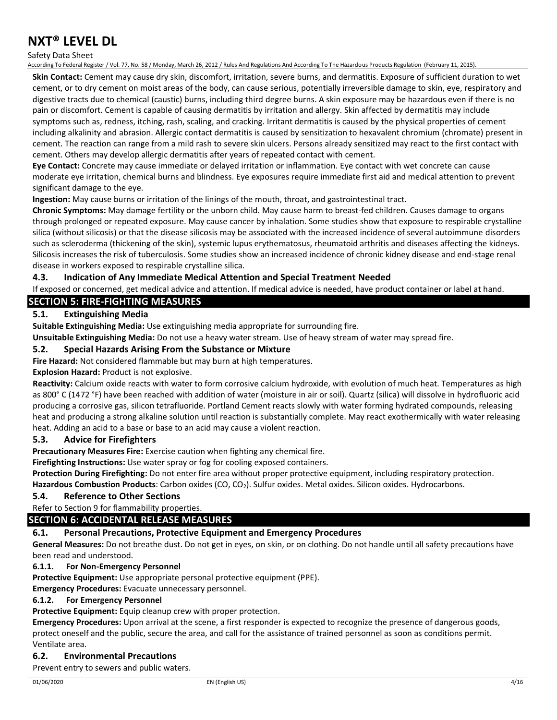#### Safety Data Sheet

According To Federal Register / Vol. 77, No. 58 / Monday, March 26, 2012 / Rules And Regulations And According To The Hazardous Products Regulation (February 11, 2015).

**Skin Contact:** Cement may cause dry skin, discomfort, irritation, severe burns, and dermatitis. Exposure of sufficient duration to wet cement, or to dry cement on moist areas of the body, can cause serious, potentially irreversible damage to skin, eye, respiratory and digestive tracts due to chemical (caustic) burns, including third degree burns. A skin exposure may be hazardous even if there is no pain or discomfort. Cement is capable of causing dermatitis by irritation and allergy. Skin affected by dermatitis may include symptoms such as, redness, itching, rash, scaling, and cracking. Irritant dermatitis is caused by the physical properties of cement including alkalinity and abrasion. Allergic contact dermatitis is caused by sensitization to hexavalent chromium (chromate) present in cement. The reaction can range from a mild rash to severe skin ulcers. Persons already sensitized may react to the first contact with cement. Others may develop allergic dermatitis after years of repeated contact with cement.

**Eye Contact:** Concrete may cause immediate or delayed irritation or inflammation. Eye contact with wet concrete can cause moderate eye irritation, chemical burns and blindness. Eye exposures require immediate first aid and medical attention to prevent significant damage to the eye.

**Ingestion:** May cause burns or irritation of the linings of the mouth, throat, and gastrointestinal tract.

**Chronic Symptoms:** May damage fertility or the unborn child. May cause harm to breast-fed children. Causes damage to organs through prolonged or repeated exposure. May cause cancer by inhalation. Some studies show that exposure to respirable crystalline silica (without silicosis) or that the disease silicosis may be associated with the increased incidence of several autoimmune disorders such as scleroderma (thickening of the skin), systemic lupus erythematosus, rheumatoid arthritis and diseases affecting the kidneys. Silicosis increases the risk of tuberculosis. Some studies show an increased incidence of chronic kidney disease and end-stage renal disease in workers exposed to respirable crystalline silica.

#### **4.3. Indication of Any Immediate Medical Attention and Special Treatment Needed**

If exposed or concerned, get medical advice and attention. If medical advice is needed, have product container or label at hand.

### **SECTION 5: FIRE-FIGHTING MEASURES**

#### **5.1. Extinguishing Media**

**Suitable Extinguishing Media:** Use extinguishing media appropriate for surrounding fire.

**Unsuitable Extinguishing Media:** Do not use a heavy water stream. Use of heavy stream of water may spread fire.

#### **5.2. Special Hazards Arising From the Substance or Mixture**

**Fire Hazard:** Not considered flammable but may burn at high temperatures.

#### **Explosion Hazard:** Product is not explosive.

**Reactivity:** Calcium oxide reacts with water to form corrosive calcium hydroxide, with evolution of much heat. Temperatures as high as 800° C (1472 °F) have been reached with addition of water (moisture in air or soil). Quartz (silica) will dissolve in hydrofluoric acid producing a corrosive gas, silicon tetrafluoride. Portland Cement reacts slowly with water forming hydrated compounds, releasing heat and producing a strong alkaline solution until reaction is substantially complete. May react exothermically with water releasing heat. Adding an acid to a base or base to an acid may cause a violent reaction.

#### **5.3. Advice for Firefighters**

**Precautionary Measures Fire:** Exercise caution when fighting any chemical fire.

**Firefighting Instructions:** Use water spray or fog for cooling exposed containers.

**Protection During Firefighting:** Do not enter fire area without proper protective equipment, including respiratory protection.

Hazardous Combustion Products: Carbon oxides (CO, CO<sub>2</sub>). Sulfur oxides. Metal oxides. Silicon oxides. Hydrocarbons.

#### **5.4. Reference to Other Sections**

Refer to Section 9 for flammability properties.

#### **SECTION 6: ACCIDENTAL RELEASE MEASURES**

#### **6.1. Personal Precautions, Protective Equipment and Emergency Procedures**

**General Measures:** Do not breathe dust. Do not get in eyes, on skin, or on clothing. Do not handle until all safety precautions have been read and understood.

#### **6.1.1. For Non-Emergency Personnel**

**Protective Equipment:** Use appropriate personal protective equipment (PPE).

**Emergency Procedures:** Evacuate unnecessary personnel.

#### **6.1.2. For Emergency Personnel**

#### **Protective Equipment:** Equip cleanup crew with proper protection.

**Emergency Procedures:** Upon arrival at the scene, a first responder is expected to recognize the presence of dangerous goods, protect oneself and the public, secure the area, and call for the assistance of trained personnel as soon as conditions permit. Ventilate area.

### **6.2. Environmental Precautions**

Prevent entry to sewers and public waters.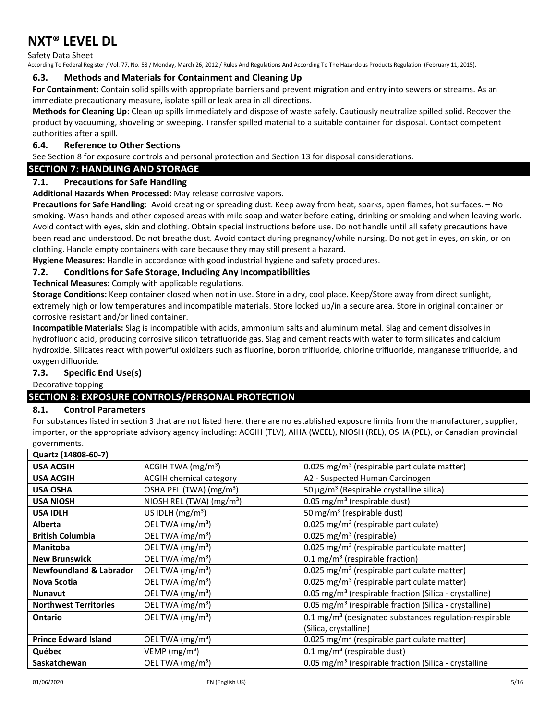Safety Data Sheet

According To Federal Register / Vol. 77, No. 58 / Monday, March 26, 2012 / Rules And Regulations And According To The Hazardous Products Regulation (February 11, 2015).

#### **6.3. Methods and Materials for Containment and Cleaning Up**

**For Containment:** Contain solid spills with appropriate barriers and prevent migration and entry into sewers or streams. As an immediate precautionary measure, isolate spill or leak area in all directions.

**Methods for Cleaning Up:** Clean up spills immediately and dispose of waste safely. Cautiously neutralize spilled solid. Recover the product by vacuuming, shoveling or sweeping. Transfer spilled material to a suitable container for disposal. Contact competent authorities after a spill.

### **6.4. Reference to Other Sections**

See Section 8 for exposure controls and personal protection and Section 13 for disposal considerations.

#### **SECTION 7: HANDLING AND STORAGE**

### **7.1. Precautions for Safe Handling**

**Additional Hazards When Processed:** May release corrosive vapors.

**Precautions for Safe Handling:** Avoid creating or spreading dust. Keep away from heat, sparks, open flames, hot surfaces. – No smoking. Wash hands and other exposed areas with mild soap and water before eating, drinking or smoking and when leaving work. Avoid contact with eyes, skin and clothing. Obtain special instructions before use. Do not handle until all safety precautions have been read and understood. Do not breathe dust. Avoid contact during pregnancy/while nursing. Do not get in eyes, on skin, or on clothing. Handle empty containers with care because they may still present a hazard.

**Hygiene Measures:** Handle in accordance with good industrial hygiene and safety procedures.

#### **7.2. Conditions for Safe Storage, Including Any Incompatibilities**

**Technical Measures:** Comply with applicable regulations.

**Storage Conditions:** Keep container closed when not in use. Store in a dry, cool place. Keep/Store away from direct sunlight, extremely high or low temperatures and incompatible materials. Store locked up/in a secure area. Store in original container or corrosive resistant and/or lined container.

**Incompatible Materials:** Slag is incompatible with acids, ammonium salts and aluminum metal. Slag and cement dissolves in hydrofluoric acid, producing corrosive silicon tetrafluoride gas. Slag and cement reacts with water to form silicates and calcium hydroxide. Silicates react with powerful oxidizers such as fluorine, boron trifluoride, chlorine trifluoride, manganese trifluoride, and oxygen difluoride.

### **7.3. Specific End Use(s)**

Decorative topping

### **SECTION 8: EXPOSURE CONTROLS/PERSONAL PROTECTION**

#### **8.1. Control Parameters**

For substances listed in section 3 that are not listed here, there are no established exposure limits from the manufacturer, supplier, importer, or the appropriate advisory agency including: ACGIH (TLV), AIHA (WEEL), NIOSH (REL), OSHA (PEL), or Canadian provincial governments.

| Quartz (14808-60-7)                |                                      |                                                                      |
|------------------------------------|--------------------------------------|----------------------------------------------------------------------|
| <b>USA ACGIH</b>                   | ACGIH TWA $(mg/m3)$                  | 0.025 mg/m <sup>3</sup> (respirable particulate matter)              |
| <b>USA ACGIH</b>                   | ACGIH chemical category              | A2 - Suspected Human Carcinogen                                      |
| <b>USA OSHA</b>                    | OSHA PEL (TWA) (mg/m <sup>3</sup> )  | 50 $\mu$ g/m <sup>3</sup> (Respirable crystalline silica)            |
| <b>USA NIOSH</b>                   | NIOSH REL (TWA) (mg/m <sup>3</sup> ) | 0.05 mg/m <sup>3</sup> (respirable dust)                             |
| <b>USA IDLH</b>                    | US IDLH $(mg/m3)$                    | 50 mg/m <sup>3</sup> (respirable dust)                               |
| <b>Alberta</b>                     | OEL TWA (mg/m <sup>3</sup> )         | 0.025 mg/m <sup>3</sup> (respirable particulate)                     |
| <b>British Columbia</b>            | OEL TWA (mg/m <sup>3</sup> )         | 0.025 mg/m <sup>3</sup> (respirable)                                 |
| <b>Manitoba</b>                    | OEL TWA (mg/m <sup>3</sup> )         | 0.025 mg/m <sup>3</sup> (respirable particulate matter)              |
| <b>New Brunswick</b>               | OEL TWA (mg/m <sup>3</sup> )         | 0.1 mg/m <sup>3</sup> (respirable fraction)                          |
| <b>Newfoundland &amp; Labrador</b> | OEL TWA (mg/m <sup>3</sup> )         | 0.025 mg/m <sup>3</sup> (respirable particulate matter)              |
| Nova Scotia                        | OEL TWA (mg/m <sup>3</sup> )         | 0.025 mg/m <sup>3</sup> (respirable particulate matter)              |
| <b>Nunavut</b>                     | OEL TWA (mg/m <sup>3</sup> )         | 0.05 mg/m <sup>3</sup> (respirable fraction (Silica - crystalline)   |
| <b>Northwest Territories</b>       | OEL TWA (mg/m <sup>3</sup> )         | 0.05 mg/m <sup>3</sup> (respirable fraction (Silica - crystalline)   |
| Ontario                            | OEL TWA (mg/m <sup>3</sup> )         | $0.1$ mg/m <sup>3</sup> (designated substances regulation-respirable |
|                                    |                                      | (Silica, crystalline)                                                |
| <b>Prince Edward Island</b>        | OEL TWA $(mg/m3)$                    | 0.025 mg/m <sup>3</sup> (respirable particulate matter)              |
| Québec                             | VEMP ( $mg/m3$ )                     | $0.1 \,\mathrm{mg/m^3}$ (respirable dust)                            |
| Saskatchewan                       | OEL TWA (mg/m <sup>3</sup> )         | 0.05 mg/m <sup>3</sup> (respirable fraction (Silica - crystalline    |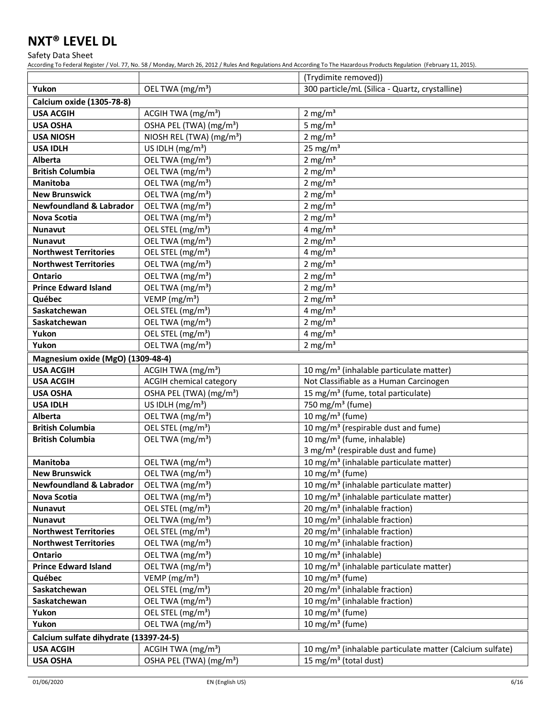Safety Data Sheet

|                                                |                                                               | (Trydimite removed))                                                                   |
|------------------------------------------------|---------------------------------------------------------------|----------------------------------------------------------------------------------------|
| Yukon                                          | OEL TWA (mg/m <sup>3</sup> )                                  | 300 particle/mL (Silica - Quartz, crystalline)                                         |
| <b>Calcium oxide (1305-78-8)</b>               |                                                               |                                                                                        |
| <b>USA ACGIH</b>                               | ACGIH TWA $(mg/m3)$                                           | 2 mg/m <sup>3</sup>                                                                    |
| <b>USA OSHA</b>                                | OSHA PEL (TWA) (mg/m <sup>3</sup> )                           | 5 mg/ $m3$                                                                             |
| <b>USA NIOSH</b>                               | NIOSH REL (TWA) (mg/m <sup>3</sup> )                          | 2 mg/m $3$                                                                             |
| <b>USA IDLH</b>                                | US IDLH (mg/m <sup>3</sup> )                                  | $25$ mg/m <sup>3</sup>                                                                 |
| Alberta                                        | OEL TWA (mg/m <sup>3</sup> )                                  | 2 mg/ $m3$                                                                             |
| <b>British Columbia</b>                        | OEL TWA (mg/m <sup>3</sup> )                                  | 2 mg/ $m3$                                                                             |
| <b>Manitoba</b>                                | OEL TWA (mg/m <sup>3</sup> )                                  | 2 mg/m $3$                                                                             |
| <b>New Brunswick</b>                           | OEL TWA (mg/m <sup>3</sup> )                                  | 2 mg/ $m3$                                                                             |
| <b>Newfoundland &amp; Labrador</b>             | OEL TWA (mg/m <sup>3</sup> )                                  | 2 mg/ $m3$                                                                             |
| <b>Nova Scotia</b>                             | OEL TWA (mg/m <sup>3</sup> )                                  | 2 mg/ $m3$                                                                             |
| <b>Nunavut</b>                                 | OEL STEL (mg/m <sup>3</sup> )                                 | 4 mg/m <sup>3</sup>                                                                    |
| <b>Nunavut</b>                                 | OEL TWA (mg/m <sup>3</sup> )                                  | 2 mg/ $m3$                                                                             |
| <b>Northwest Territories</b>                   | OEL STEL (mg/m <sup>3</sup> )                                 | 4 mg/m $3$                                                                             |
| <b>Northwest Territories</b>                   | OEL TWA (mg/m <sup>3</sup> )                                  | 2 mg/m $3$                                                                             |
| <b>Ontario</b>                                 | OEL TWA (mg/m <sup>3</sup> )                                  | 2 mg/m $3$                                                                             |
| <b>Prince Edward Island</b>                    | OEL TWA (mg/m <sup>3</sup> )                                  | 2 mg/ $m3$                                                                             |
| Québec                                         | VEMP ( $mg/m3$ )                                              | 2 mg/ $m3$                                                                             |
| Saskatchewan                                   | OEL STEL (mg/m <sup>3</sup> )                                 | 4 mg/m $3$                                                                             |
| Saskatchewan                                   | OEL TWA (mg/m <sup>3</sup> )                                  | 2 mg/ $m3$                                                                             |
| Yukon                                          | OEL STEL (mg/m <sup>3</sup> )                                 | 4 mg/m $3$                                                                             |
| Yukon                                          | OEL TWA (mg/m <sup>3</sup> )                                  | 2 mg/m $3$                                                                             |
| Magnesium oxide (MgO) (1309-48-4)              |                                                               |                                                                                        |
| <b>USA ACGIH</b>                               | ACGIH TWA $(mg/m3)$                                           | 10 mg/m <sup>3</sup> (inhalable particulate matter)                                    |
| <b>USA ACGIH</b>                               | <b>ACGIH chemical category</b>                                | Not Classifiable as a Human Carcinogen                                                 |
| <b>USA OSHA</b>                                | OSHA PEL (TWA) (mg/m <sup>3</sup> )                           | 15 mg/m <sup>3</sup> (fume, total particulate)                                         |
| <b>USA IDLH</b>                                | US IDLH $(mg/m3)$                                             | 750 mg/m <sup>3</sup> (fume)                                                           |
| Alberta                                        | OEL TWA (mg/m <sup>3</sup> )                                  | 10 mg/m $3$ (fume)                                                                     |
| <b>British Columbia</b>                        | OEL STEL (mg/m <sup>3</sup> )                                 | 10 mg/m <sup>3</sup> (respirable dust and fume)                                        |
| <b>British Columbia</b>                        | OEL TWA (mg/m <sup>3</sup> )                                  | 10 mg/m <sup>3</sup> (fume, inhalable)                                                 |
|                                                |                                                               | 3 mg/m <sup>3</sup> (respirable dust and fume)                                         |
| Manitoba                                       | OEL TWA (mg/m <sup>3</sup> )                                  | 10 mg/m <sup>3</sup> (inhalable particulate matter)                                    |
| <b>New Brunswick</b>                           | OEL TWA (mg/m <sup>3</sup> )                                  | 10 mg/m $3$ (fume)                                                                     |
| <b>Newfoundland &amp; Labrador</b>             | OEL TWA (mg/m <sup>3</sup> )                                  | 10 mg/m <sup>3</sup> (inhalable particulate matter)                                    |
| <b>Nova Scotia</b>                             | OEL TWA (mg/m <sup>3</sup> )                                  | 10 mg/m <sup>3</sup> (inhalable particulate matter)                                    |
| <b>Nunavut</b>                                 | OEL STEL (mg/m <sup>3</sup> )                                 | 20 mg/m <sup>3</sup> (inhalable fraction)<br>10 mg/m <sup>3</sup> (inhalable fraction) |
| <b>Nunavut</b><br><b>Northwest Territories</b> | OEL TWA (mg/m <sup>3</sup> )<br>OEL STEL (mg/m <sup>3</sup> ) | 20 mg/m <sup>3</sup> (inhalable fraction)                                              |
| <b>Northwest Territories</b>                   | OEL TWA (mg/m <sup>3</sup> )                                  | 10 mg/m <sup>3</sup> (inhalable fraction)                                              |
| Ontario                                        | OEL TWA (mg/m <sup>3</sup> )                                  | 10 mg/m <sup>3</sup> (inhalable)                                                       |
| <b>Prince Edward Island</b>                    | OEL TWA (mg/m <sup>3</sup> )                                  | 10 mg/m <sup>3</sup> (inhalable particulate matter)                                    |
| Québec                                         | VEMP ( $mg/m3$ )                                              | 10 mg/m <sup>3</sup> (fume)                                                            |
| Saskatchewan                                   | OEL STEL (mg/m <sup>3</sup> )                                 | 20 mg/m <sup>3</sup> (inhalable fraction)                                              |
| Saskatchewan                                   | OEL TWA (mg/m <sup>3</sup> )                                  | 10 mg/m <sup>3</sup> (inhalable fraction)                                              |
| Yukon                                          | OEL STEL (mg/m <sup>3</sup> )                                 | 10 mg/m $3$ (fume)                                                                     |
| Yukon                                          | OEL TWA (mg/m <sup>3</sup> )                                  | 10 mg/m $3$ (fume)                                                                     |
| Calcium sulfate dihydrate (13397-24-5)         |                                                               |                                                                                        |
| <b>USA ACGIH</b>                               | ACGIH TWA $(mg/m3)$                                           | 10 mg/m <sup>3</sup> (inhalable particulate matter (Calcium sulfate)                   |
| <b>USA OSHA</b>                                | OSHA PEL (TWA) (mg/m <sup>3</sup> )                           | 15 mg/m <sup>3</sup> (total dust)                                                      |
|                                                |                                                               |                                                                                        |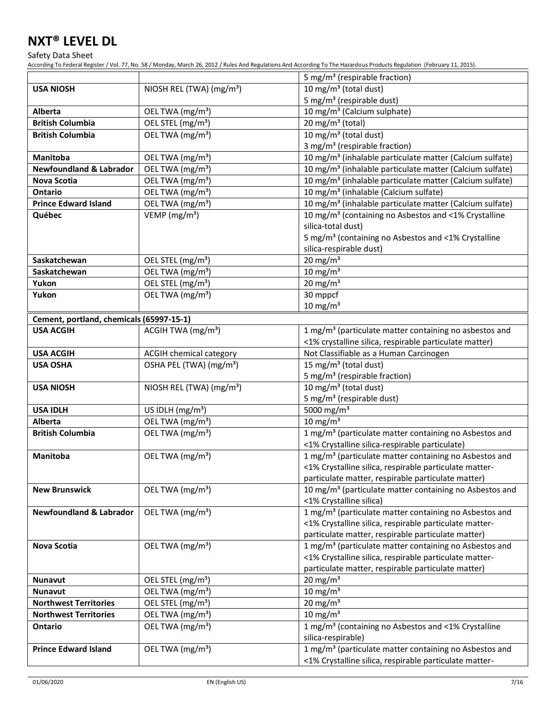Safety Data Sheet

|                                          |                                      | 5 mg/m <sup>3</sup> (respirable fraction)                                             |
|------------------------------------------|--------------------------------------|---------------------------------------------------------------------------------------|
| <b>USA NIOSH</b>                         | NIOSH REL (TWA) (mg/m <sup>3</sup> ) | 10 mg/m $3$ (total dust)                                                              |
|                                          |                                      | 5 mg/m <sup>3</sup> (respirable dust)                                                 |
| Alberta                                  | OEL TWA (mg/m <sup>3</sup> )         | 10 mg/m <sup>3</sup> (Calcium sulphate)                                               |
| <b>British Columbia</b>                  | OEL STEL (mg/m <sup>3</sup> )        | 20 mg/m $3$ (total)                                                                   |
| <b>British Columbia</b>                  | OEL TWA (mg/m <sup>3</sup> )         | 10 mg/m $3$ (total dust)                                                              |
|                                          |                                      | 3 mg/m <sup>3</sup> (respirable fraction)                                             |
| <b>Manitoba</b>                          | OEL TWA (mg/m <sup>3</sup> )         | 10 mg/m <sup>3</sup> (inhalable particulate matter (Calcium sulfate)                  |
| <b>Newfoundland &amp; Labrador</b>       | OEL TWA (mg/m <sup>3</sup> )         | 10 mg/m <sup>3</sup> (inhalable particulate matter (Calcium sulfate)                  |
| Nova Scotia                              | OEL TWA (mg/m <sup>3</sup> )         | 10 mg/m <sup>3</sup> (inhalable particulate matter (Calcium sulfate)                  |
| <b>Ontario</b>                           | OEL TWA (mg/m <sup>3</sup> )         | 10 mg/m <sup>3</sup> (inhalable (Calcium sulfate)                                     |
| <b>Prince Edward Island</b>              | OEL TWA (mg/m <sup>3</sup> )         | 10 mg/m <sup>3</sup> (inhalable particulate matter (Calcium sulfate)                  |
| Québec                                   | VEMP ( $mg/m3$ )                     | 10 mg/m <sup>3</sup> (containing no Asbestos and <1% Crystalline                      |
|                                          |                                      | silica-total dust)                                                                    |
|                                          |                                      | 5 mg/m <sup>3</sup> (containing no Asbestos and <1% Crystalline                       |
|                                          |                                      | silica-respirable dust)                                                               |
| Saskatchewan                             | OEL STEL (mg/m <sup>3</sup> )        | $20$ mg/m <sup>3</sup>                                                                |
| Saskatchewan                             | OEL TWA (mg/m <sup>3</sup> )         | $10 \text{ mg/m}^3$                                                                   |
| Yukon                                    | OEL STEL (mg/m <sup>3</sup> )        | 20 mg/m $3$                                                                           |
| Yukon                                    | OEL TWA (mg/m <sup>3</sup> )         | 30 mppcf                                                                              |
|                                          |                                      | $10 \text{ mg/m}^3$                                                                   |
| Cement, portland, chemicals (65997-15-1) |                                      |                                                                                       |
| <b>USA ACGIH</b>                         | ACGIH TWA (mg/m <sup>3</sup> )       | 1 mg/m <sup>3</sup> (particulate matter containing no asbestos and                    |
|                                          |                                      | <1% crystalline silica, respirable particulate matter)                                |
| <b>USA ACGIH</b>                         | ACGIH chemical category              | Not Classifiable as a Human Carcinogen                                                |
| <b>USA OSHA</b>                          | OSHA PEL (TWA) (mg/m <sup>3</sup> )  | 15 mg/m <sup>3</sup> (total dust)                                                     |
|                                          |                                      | 5 mg/m <sup>3</sup> (respirable fraction)                                             |
| <b>USA NIOSH</b>                         | NIOSH REL (TWA) (mg/m <sup>3</sup> ) | 10 mg/m $3$ (total dust)<br>5 mg/m <sup>3</sup> (respirable dust)                     |
| <b>USA IDLH</b>                          | US IDLH $(mg/m3)$                    | 5000 mg/m <sup>3</sup>                                                                |
| Alberta                                  | OEL TWA (mg/m <sup>3</sup> )         | 10 mg/m $3$                                                                           |
| <b>British Columbia</b>                  | OEL TWA (mg/m <sup>3</sup> )         | 1 mg/m <sup>3</sup> (particulate matter containing no Asbestos and                    |
|                                          |                                      | <1% Crystalline silica-respirable particulate)                                        |
| Manitoba                                 | OEL TWA (mg/m <sup>3</sup> )         | 1 mg/m <sup>3</sup> (particulate matter containing no Asbestos and                    |
|                                          |                                      | <1% Crystalline silica, respirable particulate matter-                                |
|                                          |                                      | particulate matter, respirable particulate matter)                                    |
| <b>New Brunswick</b>                     | OEL TWA (mg/m <sup>3</sup> )         | 10 mg/m <sup>3</sup> (particulate matter containing no Asbestos and                   |
|                                          |                                      | <1% Crystalline silica)                                                               |
| <b>Newfoundland &amp; Labrador</b>       | OEL TWA (mg/m <sup>3</sup> )         | 1 mg/m <sup>3</sup> (particulate matter containing no Asbestos and                    |
|                                          |                                      | <1% Crystalline silica, respirable particulate matter-                                |
|                                          |                                      | particulate matter, respirable particulate matter)                                    |
| Nova Scotia                              | OEL TWA (mg/m <sup>3</sup> )         | 1 mg/m <sup>3</sup> (particulate matter containing no Asbestos and                    |
|                                          |                                      | <1% Crystalline silica, respirable particulate matter-                                |
|                                          |                                      | particulate matter, respirable particulate matter)                                    |
| <b>Nunavut</b>                           | OEL STEL (mg/m <sup>3</sup> )        | 20 mg/m $3$                                                                           |
| <b>Nunavut</b>                           | OEL TWA (mg/m <sup>3</sup> )         | 10 mg/m $3$                                                                           |
| <b>Northwest Territories</b>             | OEL STEL (mg/m <sup>3</sup> )        | 20 mg/m $3$                                                                           |
| <b>Northwest Territories</b>             | OEL TWA (mg/m <sup>3</sup> )         | $10 \text{ mg/m}^3$                                                                   |
| Ontario                                  | OEL TWA (mg/m <sup>3</sup> )         | 1 mg/m <sup>3</sup> (containing no Asbestos and <1% Crystalline<br>silica-respirable) |
| <b>Prince Edward Island</b>              |                                      |                                                                                       |
|                                          | OEL TWA (mg/m <sup>3</sup> )         | 1 mg/m <sup>3</sup> (particulate matter containing no Asbestos and                    |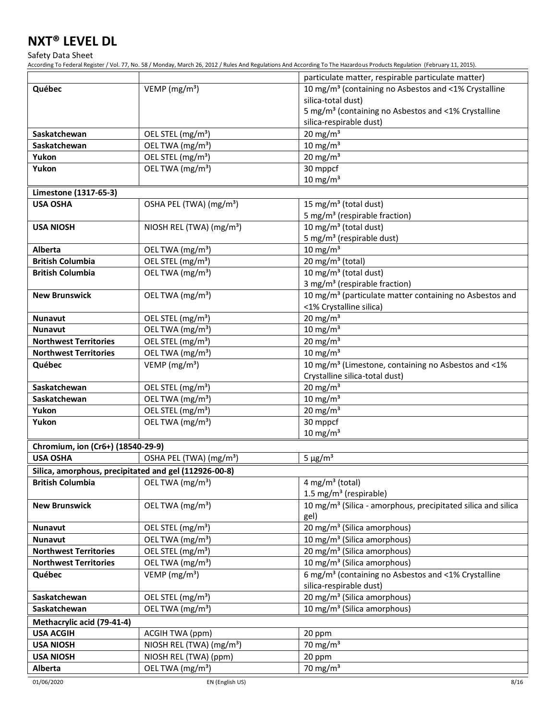Safety Data Sheet

| VEMP ( $mg/m3$ )<br>10 mg/m <sup>3</sup> (containing no Asbestos and <1% Crystalline<br>Québec<br>silica-total dust)<br>5 mg/m <sup>3</sup> (containing no Asbestos and <1% Crystalline<br>silica-respirable dust)<br>20 mg/m $3$<br>OEL STEL (mg/m <sup>3</sup> )<br>Saskatchewan<br>10 mg/m $3$<br>OEL TWA (mg/m <sup>3</sup> )<br>Saskatchewan<br>OEL STEL (mg/m <sup>3</sup> )<br>20 mg/m $3$<br>Yukon<br>OEL TWA (mg/m <sup>3</sup> )<br>30 mppcf<br>Yukon<br>$10 \text{ mg/m}^3$<br>Limestone (1317-65-3)<br>15 mg/m <sup>3</sup> (total dust)<br>OSHA PEL (TWA) (mg/m <sup>3</sup> )<br><b>USA OSHA</b><br>5 mg/m <sup>3</sup> (respirable fraction)<br>10 mg/m <sup>3</sup> (total dust)<br>NIOSH REL (TWA) (mg/m <sup>3</sup> )<br><b>USA NIOSH</b><br>5 mg/m <sup>3</sup> (respirable dust)<br>$10 \text{ mg/m}^3$<br>Alberta<br>OEL TWA (mg/m <sup>3</sup> )<br>20 mg/m <sup>3</sup> (total)<br>OEL STEL (mg/m <sup>3</sup> )<br><b>British Columbia</b><br>10 mg/m $3$ (total dust)<br>OEL TWA (mg/m <sup>3</sup> )<br><b>British Columbia</b><br>3 mg/m <sup>3</sup> (respirable fraction)<br>10 mg/m <sup>3</sup> (particulate matter containing no Asbestos and<br>OEL TWA (mg/m <sup>3</sup> )<br><b>New Brunswick</b><br><1% Crystalline silica)<br>20 mg/m $3$<br>OEL STEL (mg/m <sup>3</sup> )<br><b>Nunavut</b><br>10 mg/m $\frac{3}{3}$<br>OEL TWA (mg/m <sup>3</sup> )<br><b>Nunavut</b><br>20 mg/m $3$<br>OEL STEL (mg/m <sup>3</sup> )<br><b>Northwest Territories</b><br>$10 \text{ mg/m}^3$<br>OEL TWA (mg/m <sup>3</sup> )<br><b>Northwest Territories</b><br>$10$ mg/m <sup>3</sup> (Limestone, containing no Asbestos and <1%<br>VEMP ( $mg/m3$ )<br>Québec<br>Crystalline silica-total dust)<br>20 mg/m $3$<br>Saskatchewan<br>OEL STEL (mg/m <sup>3</sup> )<br>$10 \text{ mg/m}^3$<br>OEL TWA (mg/m <sup>3</sup> )<br>Saskatchewan<br>Yukon<br>OEL STEL (mg/m <sup>3</sup> )<br>20 mg/m $3$<br>30 mppcf<br>OEL TWA (mg/m <sup>3</sup> )<br>Yukon<br>$10 \text{ mg/m}^3$<br>Chromium, ion (Cr6+) (18540-29-9)<br>$5 \mu g/m^3$<br><b>USA OSHA</b><br>OSHA PEL (TWA) (mg/m <sup>3</sup> )<br>Silica, amorphous, precipitated and gel (112926-00-8)<br>OEL TWA (mg/m <sup>3</sup> )<br>$4$ mg/m <sup>3</sup> (total)<br><b>British Columbia</b><br>1.5 mg/m <sup>3</sup> (respirable)<br>10 mg/m <sup>3</sup> (Silica - amorphous, precipitated silica and silica<br><b>New Brunswick</b><br>OEL TWA (mg/m <sup>3</sup> )<br>gel)<br>20 mg/m <sup>3</sup> (Silica amorphous)<br><b>Nunavut</b><br>OEL STEL (mg/m <sup>3</sup> )<br>OEL TWA (mg/m <sup>3</sup> )<br>10 mg/m <sup>3</sup> (Silica amorphous)<br><b>Nunavut</b><br>OEL STEL (mg/m <sup>3</sup> )<br>20 mg/m <sup>3</sup> (Silica amorphous)<br><b>Northwest Territories</b><br>10 mg/m <sup>3</sup> (Silica amorphous)<br>OEL TWA (mg/m <sup>3</sup> )<br><b>Northwest Territories</b><br>6 mg/m <sup>3</sup> (containing no Asbestos and <1% Crystalline<br>VEMP ( $mg/m3$ )<br>Québec<br>silica-respirable dust)<br>OEL STEL (mg/m <sup>3</sup> )<br>20 mg/m <sup>3</sup> (Silica amorphous)<br>Saskatchewan<br>10 mg/m <sup>3</sup> (Silica amorphous)<br>OEL TWA (mg/m <sup>3</sup> )<br>Saskatchewan<br>Methacrylic acid (79-41-4)<br><b>USA ACGIH</b><br>ACGIH TWA (ppm)<br>20 ppm<br>70 mg/m $3$<br><b>USA NIOSH</b><br>NIOSH REL (TWA) (mg/m <sup>3</sup> )<br><b>USA NIOSH</b><br>NIOSH REL (TWA) (ppm)<br>20 ppm |         |                              | particulate matter, respirable particulate matter) |
|---------------------------------------------------------------------------------------------------------------------------------------------------------------------------------------------------------------------------------------------------------------------------------------------------------------------------------------------------------------------------------------------------------------------------------------------------------------------------------------------------------------------------------------------------------------------------------------------------------------------------------------------------------------------------------------------------------------------------------------------------------------------------------------------------------------------------------------------------------------------------------------------------------------------------------------------------------------------------------------------------------------------------------------------------------------------------------------------------------------------------------------------------------------------------------------------------------------------------------------------------------------------------------------------------------------------------------------------------------------------------------------------------------------------------------------------------------------------------------------------------------------------------------------------------------------------------------------------------------------------------------------------------------------------------------------------------------------------------------------------------------------------------------------------------------------------------------------------------------------------------------------------------------------------------------------------------------------------------------------------------------------------------------------------------------------------------------------------------------------------------------------------------------------------------------------------------------------------------------------------------------------------------------------------------------------------------------------------------------------------------------------------------------------------------------------------------------------------------------------------------------------------------------------------------------------------------------------------------------------------------------------------------------------------------------------------------------------------------------------------------------------------------------------------------------------------------------------------------------------------------------------------------------------------------------------------------------------------------------------------------------------------------------------------------------------------------------------------------------------------------------------------------------------------------------------------------------------------------------------------------------------------------------------------------------------------------------------------------------------------------------------------------------------------|---------|------------------------------|----------------------------------------------------|
|                                                                                                                                                                                                                                                                                                                                                                                                                                                                                                                                                                                                                                                                                                                                                                                                                                                                                                                                                                                                                                                                                                                                                                                                                                                                                                                                                                                                                                                                                                                                                                                                                                                                                                                                                                                                                                                                                                                                                                                                                                                                                                                                                                                                                                                                                                                                                                                                                                                                                                                                                                                                                                                                                                                                                                                                                                                                                                                                                                                                                                                                                                                                                                                                                                                                                                                                                                                                                     |         |                              |                                                    |
|                                                                                                                                                                                                                                                                                                                                                                                                                                                                                                                                                                                                                                                                                                                                                                                                                                                                                                                                                                                                                                                                                                                                                                                                                                                                                                                                                                                                                                                                                                                                                                                                                                                                                                                                                                                                                                                                                                                                                                                                                                                                                                                                                                                                                                                                                                                                                                                                                                                                                                                                                                                                                                                                                                                                                                                                                                                                                                                                                                                                                                                                                                                                                                                                                                                                                                                                                                                                                     |         |                              |                                                    |
|                                                                                                                                                                                                                                                                                                                                                                                                                                                                                                                                                                                                                                                                                                                                                                                                                                                                                                                                                                                                                                                                                                                                                                                                                                                                                                                                                                                                                                                                                                                                                                                                                                                                                                                                                                                                                                                                                                                                                                                                                                                                                                                                                                                                                                                                                                                                                                                                                                                                                                                                                                                                                                                                                                                                                                                                                                                                                                                                                                                                                                                                                                                                                                                                                                                                                                                                                                                                                     |         |                              |                                                    |
|                                                                                                                                                                                                                                                                                                                                                                                                                                                                                                                                                                                                                                                                                                                                                                                                                                                                                                                                                                                                                                                                                                                                                                                                                                                                                                                                                                                                                                                                                                                                                                                                                                                                                                                                                                                                                                                                                                                                                                                                                                                                                                                                                                                                                                                                                                                                                                                                                                                                                                                                                                                                                                                                                                                                                                                                                                                                                                                                                                                                                                                                                                                                                                                                                                                                                                                                                                                                                     |         |                              |                                                    |
|                                                                                                                                                                                                                                                                                                                                                                                                                                                                                                                                                                                                                                                                                                                                                                                                                                                                                                                                                                                                                                                                                                                                                                                                                                                                                                                                                                                                                                                                                                                                                                                                                                                                                                                                                                                                                                                                                                                                                                                                                                                                                                                                                                                                                                                                                                                                                                                                                                                                                                                                                                                                                                                                                                                                                                                                                                                                                                                                                                                                                                                                                                                                                                                                                                                                                                                                                                                                                     |         |                              |                                                    |
|                                                                                                                                                                                                                                                                                                                                                                                                                                                                                                                                                                                                                                                                                                                                                                                                                                                                                                                                                                                                                                                                                                                                                                                                                                                                                                                                                                                                                                                                                                                                                                                                                                                                                                                                                                                                                                                                                                                                                                                                                                                                                                                                                                                                                                                                                                                                                                                                                                                                                                                                                                                                                                                                                                                                                                                                                                                                                                                                                                                                                                                                                                                                                                                                                                                                                                                                                                                                                     |         |                              |                                                    |
|                                                                                                                                                                                                                                                                                                                                                                                                                                                                                                                                                                                                                                                                                                                                                                                                                                                                                                                                                                                                                                                                                                                                                                                                                                                                                                                                                                                                                                                                                                                                                                                                                                                                                                                                                                                                                                                                                                                                                                                                                                                                                                                                                                                                                                                                                                                                                                                                                                                                                                                                                                                                                                                                                                                                                                                                                                                                                                                                                                                                                                                                                                                                                                                                                                                                                                                                                                                                                     |         |                              |                                                    |
|                                                                                                                                                                                                                                                                                                                                                                                                                                                                                                                                                                                                                                                                                                                                                                                                                                                                                                                                                                                                                                                                                                                                                                                                                                                                                                                                                                                                                                                                                                                                                                                                                                                                                                                                                                                                                                                                                                                                                                                                                                                                                                                                                                                                                                                                                                                                                                                                                                                                                                                                                                                                                                                                                                                                                                                                                                                                                                                                                                                                                                                                                                                                                                                                                                                                                                                                                                                                                     |         |                              |                                                    |
|                                                                                                                                                                                                                                                                                                                                                                                                                                                                                                                                                                                                                                                                                                                                                                                                                                                                                                                                                                                                                                                                                                                                                                                                                                                                                                                                                                                                                                                                                                                                                                                                                                                                                                                                                                                                                                                                                                                                                                                                                                                                                                                                                                                                                                                                                                                                                                                                                                                                                                                                                                                                                                                                                                                                                                                                                                                                                                                                                                                                                                                                                                                                                                                                                                                                                                                                                                                                                     |         |                              |                                                    |
|                                                                                                                                                                                                                                                                                                                                                                                                                                                                                                                                                                                                                                                                                                                                                                                                                                                                                                                                                                                                                                                                                                                                                                                                                                                                                                                                                                                                                                                                                                                                                                                                                                                                                                                                                                                                                                                                                                                                                                                                                                                                                                                                                                                                                                                                                                                                                                                                                                                                                                                                                                                                                                                                                                                                                                                                                                                                                                                                                                                                                                                                                                                                                                                                                                                                                                                                                                                                                     |         |                              |                                                    |
|                                                                                                                                                                                                                                                                                                                                                                                                                                                                                                                                                                                                                                                                                                                                                                                                                                                                                                                                                                                                                                                                                                                                                                                                                                                                                                                                                                                                                                                                                                                                                                                                                                                                                                                                                                                                                                                                                                                                                                                                                                                                                                                                                                                                                                                                                                                                                                                                                                                                                                                                                                                                                                                                                                                                                                                                                                                                                                                                                                                                                                                                                                                                                                                                                                                                                                                                                                                                                     |         |                              |                                                    |
|                                                                                                                                                                                                                                                                                                                                                                                                                                                                                                                                                                                                                                                                                                                                                                                                                                                                                                                                                                                                                                                                                                                                                                                                                                                                                                                                                                                                                                                                                                                                                                                                                                                                                                                                                                                                                                                                                                                                                                                                                                                                                                                                                                                                                                                                                                                                                                                                                                                                                                                                                                                                                                                                                                                                                                                                                                                                                                                                                                                                                                                                                                                                                                                                                                                                                                                                                                                                                     |         |                              |                                                    |
|                                                                                                                                                                                                                                                                                                                                                                                                                                                                                                                                                                                                                                                                                                                                                                                                                                                                                                                                                                                                                                                                                                                                                                                                                                                                                                                                                                                                                                                                                                                                                                                                                                                                                                                                                                                                                                                                                                                                                                                                                                                                                                                                                                                                                                                                                                                                                                                                                                                                                                                                                                                                                                                                                                                                                                                                                                                                                                                                                                                                                                                                                                                                                                                                                                                                                                                                                                                                                     |         |                              |                                                    |
|                                                                                                                                                                                                                                                                                                                                                                                                                                                                                                                                                                                                                                                                                                                                                                                                                                                                                                                                                                                                                                                                                                                                                                                                                                                                                                                                                                                                                                                                                                                                                                                                                                                                                                                                                                                                                                                                                                                                                                                                                                                                                                                                                                                                                                                                                                                                                                                                                                                                                                                                                                                                                                                                                                                                                                                                                                                                                                                                                                                                                                                                                                                                                                                                                                                                                                                                                                                                                     |         |                              |                                                    |
|                                                                                                                                                                                                                                                                                                                                                                                                                                                                                                                                                                                                                                                                                                                                                                                                                                                                                                                                                                                                                                                                                                                                                                                                                                                                                                                                                                                                                                                                                                                                                                                                                                                                                                                                                                                                                                                                                                                                                                                                                                                                                                                                                                                                                                                                                                                                                                                                                                                                                                                                                                                                                                                                                                                                                                                                                                                                                                                                                                                                                                                                                                                                                                                                                                                                                                                                                                                                                     |         |                              |                                                    |
|                                                                                                                                                                                                                                                                                                                                                                                                                                                                                                                                                                                                                                                                                                                                                                                                                                                                                                                                                                                                                                                                                                                                                                                                                                                                                                                                                                                                                                                                                                                                                                                                                                                                                                                                                                                                                                                                                                                                                                                                                                                                                                                                                                                                                                                                                                                                                                                                                                                                                                                                                                                                                                                                                                                                                                                                                                                                                                                                                                                                                                                                                                                                                                                                                                                                                                                                                                                                                     |         |                              |                                                    |
|                                                                                                                                                                                                                                                                                                                                                                                                                                                                                                                                                                                                                                                                                                                                                                                                                                                                                                                                                                                                                                                                                                                                                                                                                                                                                                                                                                                                                                                                                                                                                                                                                                                                                                                                                                                                                                                                                                                                                                                                                                                                                                                                                                                                                                                                                                                                                                                                                                                                                                                                                                                                                                                                                                                                                                                                                                                                                                                                                                                                                                                                                                                                                                                                                                                                                                                                                                                                                     |         |                              |                                                    |
|                                                                                                                                                                                                                                                                                                                                                                                                                                                                                                                                                                                                                                                                                                                                                                                                                                                                                                                                                                                                                                                                                                                                                                                                                                                                                                                                                                                                                                                                                                                                                                                                                                                                                                                                                                                                                                                                                                                                                                                                                                                                                                                                                                                                                                                                                                                                                                                                                                                                                                                                                                                                                                                                                                                                                                                                                                                                                                                                                                                                                                                                                                                                                                                                                                                                                                                                                                                                                     |         |                              |                                                    |
|                                                                                                                                                                                                                                                                                                                                                                                                                                                                                                                                                                                                                                                                                                                                                                                                                                                                                                                                                                                                                                                                                                                                                                                                                                                                                                                                                                                                                                                                                                                                                                                                                                                                                                                                                                                                                                                                                                                                                                                                                                                                                                                                                                                                                                                                                                                                                                                                                                                                                                                                                                                                                                                                                                                                                                                                                                                                                                                                                                                                                                                                                                                                                                                                                                                                                                                                                                                                                     |         |                              |                                                    |
|                                                                                                                                                                                                                                                                                                                                                                                                                                                                                                                                                                                                                                                                                                                                                                                                                                                                                                                                                                                                                                                                                                                                                                                                                                                                                                                                                                                                                                                                                                                                                                                                                                                                                                                                                                                                                                                                                                                                                                                                                                                                                                                                                                                                                                                                                                                                                                                                                                                                                                                                                                                                                                                                                                                                                                                                                                                                                                                                                                                                                                                                                                                                                                                                                                                                                                                                                                                                                     |         |                              |                                                    |
|                                                                                                                                                                                                                                                                                                                                                                                                                                                                                                                                                                                                                                                                                                                                                                                                                                                                                                                                                                                                                                                                                                                                                                                                                                                                                                                                                                                                                                                                                                                                                                                                                                                                                                                                                                                                                                                                                                                                                                                                                                                                                                                                                                                                                                                                                                                                                                                                                                                                                                                                                                                                                                                                                                                                                                                                                                                                                                                                                                                                                                                                                                                                                                                                                                                                                                                                                                                                                     |         |                              |                                                    |
|                                                                                                                                                                                                                                                                                                                                                                                                                                                                                                                                                                                                                                                                                                                                                                                                                                                                                                                                                                                                                                                                                                                                                                                                                                                                                                                                                                                                                                                                                                                                                                                                                                                                                                                                                                                                                                                                                                                                                                                                                                                                                                                                                                                                                                                                                                                                                                                                                                                                                                                                                                                                                                                                                                                                                                                                                                                                                                                                                                                                                                                                                                                                                                                                                                                                                                                                                                                                                     |         |                              |                                                    |
|                                                                                                                                                                                                                                                                                                                                                                                                                                                                                                                                                                                                                                                                                                                                                                                                                                                                                                                                                                                                                                                                                                                                                                                                                                                                                                                                                                                                                                                                                                                                                                                                                                                                                                                                                                                                                                                                                                                                                                                                                                                                                                                                                                                                                                                                                                                                                                                                                                                                                                                                                                                                                                                                                                                                                                                                                                                                                                                                                                                                                                                                                                                                                                                                                                                                                                                                                                                                                     |         |                              |                                                    |
|                                                                                                                                                                                                                                                                                                                                                                                                                                                                                                                                                                                                                                                                                                                                                                                                                                                                                                                                                                                                                                                                                                                                                                                                                                                                                                                                                                                                                                                                                                                                                                                                                                                                                                                                                                                                                                                                                                                                                                                                                                                                                                                                                                                                                                                                                                                                                                                                                                                                                                                                                                                                                                                                                                                                                                                                                                                                                                                                                                                                                                                                                                                                                                                                                                                                                                                                                                                                                     |         |                              |                                                    |
|                                                                                                                                                                                                                                                                                                                                                                                                                                                                                                                                                                                                                                                                                                                                                                                                                                                                                                                                                                                                                                                                                                                                                                                                                                                                                                                                                                                                                                                                                                                                                                                                                                                                                                                                                                                                                                                                                                                                                                                                                                                                                                                                                                                                                                                                                                                                                                                                                                                                                                                                                                                                                                                                                                                                                                                                                                                                                                                                                                                                                                                                                                                                                                                                                                                                                                                                                                                                                     |         |                              |                                                    |
|                                                                                                                                                                                                                                                                                                                                                                                                                                                                                                                                                                                                                                                                                                                                                                                                                                                                                                                                                                                                                                                                                                                                                                                                                                                                                                                                                                                                                                                                                                                                                                                                                                                                                                                                                                                                                                                                                                                                                                                                                                                                                                                                                                                                                                                                                                                                                                                                                                                                                                                                                                                                                                                                                                                                                                                                                                                                                                                                                                                                                                                                                                                                                                                                                                                                                                                                                                                                                     |         |                              |                                                    |
|                                                                                                                                                                                                                                                                                                                                                                                                                                                                                                                                                                                                                                                                                                                                                                                                                                                                                                                                                                                                                                                                                                                                                                                                                                                                                                                                                                                                                                                                                                                                                                                                                                                                                                                                                                                                                                                                                                                                                                                                                                                                                                                                                                                                                                                                                                                                                                                                                                                                                                                                                                                                                                                                                                                                                                                                                                                                                                                                                                                                                                                                                                                                                                                                                                                                                                                                                                                                                     |         |                              |                                                    |
|                                                                                                                                                                                                                                                                                                                                                                                                                                                                                                                                                                                                                                                                                                                                                                                                                                                                                                                                                                                                                                                                                                                                                                                                                                                                                                                                                                                                                                                                                                                                                                                                                                                                                                                                                                                                                                                                                                                                                                                                                                                                                                                                                                                                                                                                                                                                                                                                                                                                                                                                                                                                                                                                                                                                                                                                                                                                                                                                                                                                                                                                                                                                                                                                                                                                                                                                                                                                                     |         |                              |                                                    |
|                                                                                                                                                                                                                                                                                                                                                                                                                                                                                                                                                                                                                                                                                                                                                                                                                                                                                                                                                                                                                                                                                                                                                                                                                                                                                                                                                                                                                                                                                                                                                                                                                                                                                                                                                                                                                                                                                                                                                                                                                                                                                                                                                                                                                                                                                                                                                                                                                                                                                                                                                                                                                                                                                                                                                                                                                                                                                                                                                                                                                                                                                                                                                                                                                                                                                                                                                                                                                     |         |                              |                                                    |
|                                                                                                                                                                                                                                                                                                                                                                                                                                                                                                                                                                                                                                                                                                                                                                                                                                                                                                                                                                                                                                                                                                                                                                                                                                                                                                                                                                                                                                                                                                                                                                                                                                                                                                                                                                                                                                                                                                                                                                                                                                                                                                                                                                                                                                                                                                                                                                                                                                                                                                                                                                                                                                                                                                                                                                                                                                                                                                                                                                                                                                                                                                                                                                                                                                                                                                                                                                                                                     |         |                              |                                                    |
|                                                                                                                                                                                                                                                                                                                                                                                                                                                                                                                                                                                                                                                                                                                                                                                                                                                                                                                                                                                                                                                                                                                                                                                                                                                                                                                                                                                                                                                                                                                                                                                                                                                                                                                                                                                                                                                                                                                                                                                                                                                                                                                                                                                                                                                                                                                                                                                                                                                                                                                                                                                                                                                                                                                                                                                                                                                                                                                                                                                                                                                                                                                                                                                                                                                                                                                                                                                                                     |         |                              |                                                    |
|                                                                                                                                                                                                                                                                                                                                                                                                                                                                                                                                                                                                                                                                                                                                                                                                                                                                                                                                                                                                                                                                                                                                                                                                                                                                                                                                                                                                                                                                                                                                                                                                                                                                                                                                                                                                                                                                                                                                                                                                                                                                                                                                                                                                                                                                                                                                                                                                                                                                                                                                                                                                                                                                                                                                                                                                                                                                                                                                                                                                                                                                                                                                                                                                                                                                                                                                                                                                                     |         |                              |                                                    |
|                                                                                                                                                                                                                                                                                                                                                                                                                                                                                                                                                                                                                                                                                                                                                                                                                                                                                                                                                                                                                                                                                                                                                                                                                                                                                                                                                                                                                                                                                                                                                                                                                                                                                                                                                                                                                                                                                                                                                                                                                                                                                                                                                                                                                                                                                                                                                                                                                                                                                                                                                                                                                                                                                                                                                                                                                                                                                                                                                                                                                                                                                                                                                                                                                                                                                                                                                                                                                     |         |                              |                                                    |
|                                                                                                                                                                                                                                                                                                                                                                                                                                                                                                                                                                                                                                                                                                                                                                                                                                                                                                                                                                                                                                                                                                                                                                                                                                                                                                                                                                                                                                                                                                                                                                                                                                                                                                                                                                                                                                                                                                                                                                                                                                                                                                                                                                                                                                                                                                                                                                                                                                                                                                                                                                                                                                                                                                                                                                                                                                                                                                                                                                                                                                                                                                                                                                                                                                                                                                                                                                                                                     |         |                              |                                                    |
|                                                                                                                                                                                                                                                                                                                                                                                                                                                                                                                                                                                                                                                                                                                                                                                                                                                                                                                                                                                                                                                                                                                                                                                                                                                                                                                                                                                                                                                                                                                                                                                                                                                                                                                                                                                                                                                                                                                                                                                                                                                                                                                                                                                                                                                                                                                                                                                                                                                                                                                                                                                                                                                                                                                                                                                                                                                                                                                                                                                                                                                                                                                                                                                                                                                                                                                                                                                                                     |         |                              |                                                    |
|                                                                                                                                                                                                                                                                                                                                                                                                                                                                                                                                                                                                                                                                                                                                                                                                                                                                                                                                                                                                                                                                                                                                                                                                                                                                                                                                                                                                                                                                                                                                                                                                                                                                                                                                                                                                                                                                                                                                                                                                                                                                                                                                                                                                                                                                                                                                                                                                                                                                                                                                                                                                                                                                                                                                                                                                                                                                                                                                                                                                                                                                                                                                                                                                                                                                                                                                                                                                                     |         |                              |                                                    |
|                                                                                                                                                                                                                                                                                                                                                                                                                                                                                                                                                                                                                                                                                                                                                                                                                                                                                                                                                                                                                                                                                                                                                                                                                                                                                                                                                                                                                                                                                                                                                                                                                                                                                                                                                                                                                                                                                                                                                                                                                                                                                                                                                                                                                                                                                                                                                                                                                                                                                                                                                                                                                                                                                                                                                                                                                                                                                                                                                                                                                                                                                                                                                                                                                                                                                                                                                                                                                     |         |                              |                                                    |
|                                                                                                                                                                                                                                                                                                                                                                                                                                                                                                                                                                                                                                                                                                                                                                                                                                                                                                                                                                                                                                                                                                                                                                                                                                                                                                                                                                                                                                                                                                                                                                                                                                                                                                                                                                                                                                                                                                                                                                                                                                                                                                                                                                                                                                                                                                                                                                                                                                                                                                                                                                                                                                                                                                                                                                                                                                                                                                                                                                                                                                                                                                                                                                                                                                                                                                                                                                                                                     |         |                              |                                                    |
|                                                                                                                                                                                                                                                                                                                                                                                                                                                                                                                                                                                                                                                                                                                                                                                                                                                                                                                                                                                                                                                                                                                                                                                                                                                                                                                                                                                                                                                                                                                                                                                                                                                                                                                                                                                                                                                                                                                                                                                                                                                                                                                                                                                                                                                                                                                                                                                                                                                                                                                                                                                                                                                                                                                                                                                                                                                                                                                                                                                                                                                                                                                                                                                                                                                                                                                                                                                                                     |         |                              |                                                    |
|                                                                                                                                                                                                                                                                                                                                                                                                                                                                                                                                                                                                                                                                                                                                                                                                                                                                                                                                                                                                                                                                                                                                                                                                                                                                                                                                                                                                                                                                                                                                                                                                                                                                                                                                                                                                                                                                                                                                                                                                                                                                                                                                                                                                                                                                                                                                                                                                                                                                                                                                                                                                                                                                                                                                                                                                                                                                                                                                                                                                                                                                                                                                                                                                                                                                                                                                                                                                                     |         |                              |                                                    |
|                                                                                                                                                                                                                                                                                                                                                                                                                                                                                                                                                                                                                                                                                                                                                                                                                                                                                                                                                                                                                                                                                                                                                                                                                                                                                                                                                                                                                                                                                                                                                                                                                                                                                                                                                                                                                                                                                                                                                                                                                                                                                                                                                                                                                                                                                                                                                                                                                                                                                                                                                                                                                                                                                                                                                                                                                                                                                                                                                                                                                                                                                                                                                                                                                                                                                                                                                                                                                     |         |                              |                                                    |
|                                                                                                                                                                                                                                                                                                                                                                                                                                                                                                                                                                                                                                                                                                                                                                                                                                                                                                                                                                                                                                                                                                                                                                                                                                                                                                                                                                                                                                                                                                                                                                                                                                                                                                                                                                                                                                                                                                                                                                                                                                                                                                                                                                                                                                                                                                                                                                                                                                                                                                                                                                                                                                                                                                                                                                                                                                                                                                                                                                                                                                                                                                                                                                                                                                                                                                                                                                                                                     |         |                              |                                                    |
|                                                                                                                                                                                                                                                                                                                                                                                                                                                                                                                                                                                                                                                                                                                                                                                                                                                                                                                                                                                                                                                                                                                                                                                                                                                                                                                                                                                                                                                                                                                                                                                                                                                                                                                                                                                                                                                                                                                                                                                                                                                                                                                                                                                                                                                                                                                                                                                                                                                                                                                                                                                                                                                                                                                                                                                                                                                                                                                                                                                                                                                                                                                                                                                                                                                                                                                                                                                                                     |         |                              |                                                    |
|                                                                                                                                                                                                                                                                                                                                                                                                                                                                                                                                                                                                                                                                                                                                                                                                                                                                                                                                                                                                                                                                                                                                                                                                                                                                                                                                                                                                                                                                                                                                                                                                                                                                                                                                                                                                                                                                                                                                                                                                                                                                                                                                                                                                                                                                                                                                                                                                                                                                                                                                                                                                                                                                                                                                                                                                                                                                                                                                                                                                                                                                                                                                                                                                                                                                                                                                                                                                                     |         |                              |                                                    |
|                                                                                                                                                                                                                                                                                                                                                                                                                                                                                                                                                                                                                                                                                                                                                                                                                                                                                                                                                                                                                                                                                                                                                                                                                                                                                                                                                                                                                                                                                                                                                                                                                                                                                                                                                                                                                                                                                                                                                                                                                                                                                                                                                                                                                                                                                                                                                                                                                                                                                                                                                                                                                                                                                                                                                                                                                                                                                                                                                                                                                                                                                                                                                                                                                                                                                                                                                                                                                     |         |                              |                                                    |
|                                                                                                                                                                                                                                                                                                                                                                                                                                                                                                                                                                                                                                                                                                                                                                                                                                                                                                                                                                                                                                                                                                                                                                                                                                                                                                                                                                                                                                                                                                                                                                                                                                                                                                                                                                                                                                                                                                                                                                                                                                                                                                                                                                                                                                                                                                                                                                                                                                                                                                                                                                                                                                                                                                                                                                                                                                                                                                                                                                                                                                                                                                                                                                                                                                                                                                                                                                                                                     |         |                              |                                                    |
|                                                                                                                                                                                                                                                                                                                                                                                                                                                                                                                                                                                                                                                                                                                                                                                                                                                                                                                                                                                                                                                                                                                                                                                                                                                                                                                                                                                                                                                                                                                                                                                                                                                                                                                                                                                                                                                                                                                                                                                                                                                                                                                                                                                                                                                                                                                                                                                                                                                                                                                                                                                                                                                                                                                                                                                                                                                                                                                                                                                                                                                                                                                                                                                                                                                                                                                                                                                                                     |         |                              |                                                    |
|                                                                                                                                                                                                                                                                                                                                                                                                                                                                                                                                                                                                                                                                                                                                                                                                                                                                                                                                                                                                                                                                                                                                                                                                                                                                                                                                                                                                                                                                                                                                                                                                                                                                                                                                                                                                                                                                                                                                                                                                                                                                                                                                                                                                                                                                                                                                                                                                                                                                                                                                                                                                                                                                                                                                                                                                                                                                                                                                                                                                                                                                                                                                                                                                                                                                                                                                                                                                                     |         |                              |                                                    |
|                                                                                                                                                                                                                                                                                                                                                                                                                                                                                                                                                                                                                                                                                                                                                                                                                                                                                                                                                                                                                                                                                                                                                                                                                                                                                                                                                                                                                                                                                                                                                                                                                                                                                                                                                                                                                                                                                                                                                                                                                                                                                                                                                                                                                                                                                                                                                                                                                                                                                                                                                                                                                                                                                                                                                                                                                                                                                                                                                                                                                                                                                                                                                                                                                                                                                                                                                                                                                     |         |                              |                                                    |
|                                                                                                                                                                                                                                                                                                                                                                                                                                                                                                                                                                                                                                                                                                                                                                                                                                                                                                                                                                                                                                                                                                                                                                                                                                                                                                                                                                                                                                                                                                                                                                                                                                                                                                                                                                                                                                                                                                                                                                                                                                                                                                                                                                                                                                                                                                                                                                                                                                                                                                                                                                                                                                                                                                                                                                                                                                                                                                                                                                                                                                                                                                                                                                                                                                                                                                                                                                                                                     | Alberta | OEL TWA (mg/m <sup>3</sup> ) | 70 mg/m $3$                                        |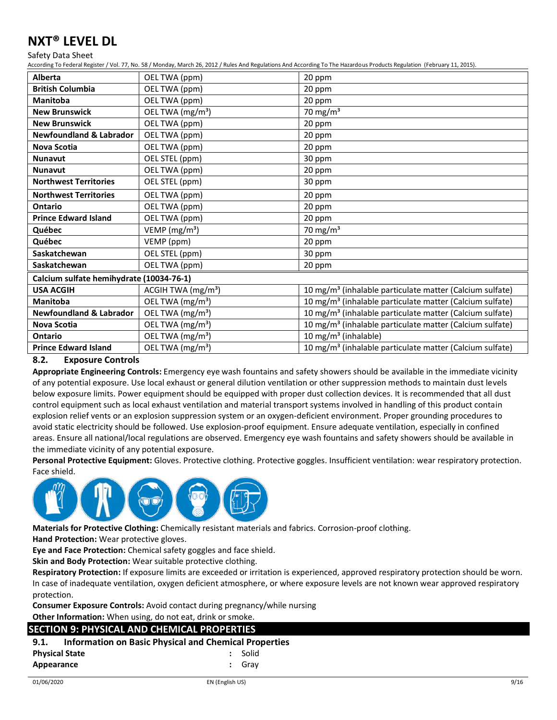Safety Data Sheet

According To Federal Register / Vol. 77, No. 58 / Monday, March 26, 2012 / Rules And Regulations And According To The Hazardous Products Regulation (February 11, 2015).

| <b>Alberta</b>                           | OEL TWA (ppm)                | 20 ppm                                                               |
|------------------------------------------|------------------------------|----------------------------------------------------------------------|
| <b>British Columbia</b>                  | OEL TWA (ppm)                | 20 ppm                                                               |
| <b>Manitoba</b>                          | OEL TWA (ppm)                | 20 ppm                                                               |
| <b>New Brunswick</b>                     | OEL TWA (mg/m <sup>3</sup> ) | 70 mg/m $3$                                                          |
| <b>New Brunswick</b>                     | OEL TWA (ppm)                | 20 ppm                                                               |
| <b>Newfoundland &amp; Labrador</b>       | OEL TWA (ppm)                | 20 ppm                                                               |
| <b>Nova Scotia</b>                       | OEL TWA (ppm)                | 20 ppm                                                               |
| <b>Nunavut</b>                           | OEL STEL (ppm)               | 30 ppm                                                               |
| <b>Nunavut</b>                           | OEL TWA (ppm)                | 20 ppm                                                               |
| <b>Northwest Territories</b>             | OEL STEL (ppm)               | 30 ppm                                                               |
| <b>Northwest Territories</b>             | OEL TWA (ppm)                | 20 ppm                                                               |
| <b>Ontario</b>                           | OEL TWA (ppm)                | 20 ppm                                                               |
| <b>Prince Edward Island</b>              | OEL TWA (ppm)                | 20 ppm                                                               |
| Québec                                   | VEMP (mg/m <sup>3</sup> )    | 70 mg/m $3$                                                          |
| Québec                                   | VEMP (ppm)                   | 20 ppm                                                               |
| Saskatchewan                             | OEL STEL (ppm)               | 30 ppm                                                               |
| Saskatchewan                             | OEL TWA (ppm)                | 20 ppm                                                               |
| Calcium sulfate hemihydrate (10034-76-1) |                              |                                                                      |
| <b>USA ACGIH</b>                         | ACGIH TWA $(mg/m3)$          | 10 mg/m <sup>3</sup> (inhalable particulate matter (Calcium sulfate) |
| <b>Manitoba</b>                          | OEL TWA (mg/m <sup>3</sup> ) | 10 mg/m <sup>3</sup> (inhalable particulate matter (Calcium sulfate) |
| <b>Newfoundland &amp; Labrador</b>       | OEL TWA (mg/m <sup>3</sup> ) | 10 mg/m <sup>3</sup> (inhalable particulate matter (Calcium sulfate) |
| <b>Nova Scotia</b>                       | OEL TWA (mg/m <sup>3</sup> ) | 10 mg/m <sup>3</sup> (inhalable particulate matter (Calcium sulfate) |
| Ontario                                  | OEL TWA (mg/m <sup>3</sup> ) | 10 mg/m <sup>3</sup> (inhalable)                                     |
| <b>Prince Edward Island</b>              | OEL TWA (mg/m <sup>3</sup> ) | 10 mg/m <sup>3</sup> (inhalable particulate matter (Calcium sulfate) |

### **8.2. Exposure Controls**

**Appropriate Engineering Controls:** Emergency eye wash fountains and safety showers should be available in the immediate vicinity of any potential exposure. Use local exhaust or general dilution ventilation or other suppression methods to maintain dust levels below exposure limits. Power equipment should be equipped with proper dust collection devices. It is recommended that all dust control equipment such as local exhaust ventilation and material transport systems involved in handling of this product contain explosion relief vents or an explosion suppression system or an oxygen-deficient environment. Proper grounding procedures to avoid static electricity should be followed. Use explosion-proof equipment. Ensure adequate ventilation, especially in confined areas. Ensure all national/local regulations are observed. Emergency eye wash fountains and safety showers should be available in the immediate vicinity of any potential exposure.

**Personal Protective Equipment:** Gloves. Protective clothing. Protective goggles. Insufficient ventilation: wear respiratory protection. Face shield.



**Materials for Protective Clothing:** Chemically resistant materials and fabrics. Corrosion-proof clothing.

**Hand Protection:** Wear protective gloves.

**Eye and Face Protection:** Chemical safety goggles and face shield.

**Skin and Body Protection:** Wear suitable protective clothing.

**Respiratory Protection:** If exposure limits are exceeded or irritation is experienced, approved respiratory protection should be worn. In case of inadequate ventilation, oxygen deficient atmosphere, or where exposure levels are not known wear approved respiratory protection.

**Consumer Exposure Controls:** Avoid contact during pregnancy/while nursing

**Other Information:** When using, do not eat, drink or smoke.

#### **SECTION 9: PHYSICAL AND CHEMICAL PROPERTIES**

### **9.1. Information on Basic Physical and Chemical Properties Physical State :** Solid

| τ πγοιται στατε | <b>JUILU</b> |
|-----------------|--------------|
| Appearance      | : Grav       |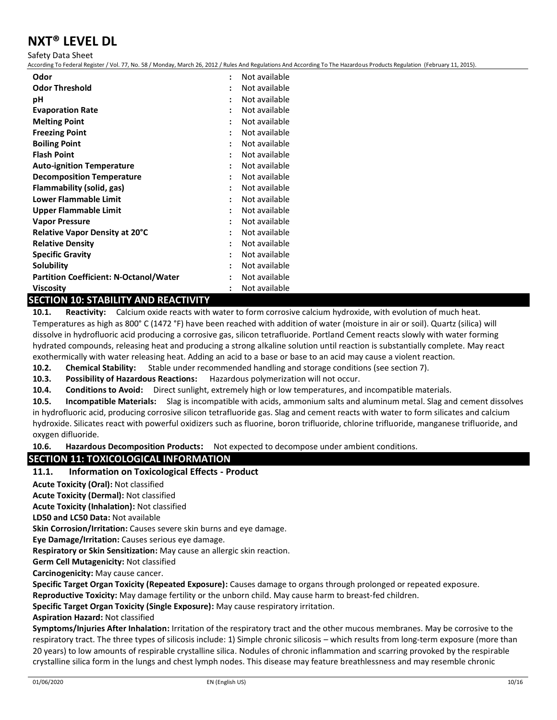Safety Data Sheet

According To Federal Register / Vol. 77, No. 58 / Monday, March 26, 2012 / Rules And Regulations And According To The Hazardous Products Regulation (February 11, 2015).

| Odor                                          |                      | Not available |
|-----------------------------------------------|----------------------|---------------|
| <b>Odor Threshold</b>                         | ٠                    | Not available |
| рH                                            | $\ddot{\phantom{a}}$ | Not available |
| <b>Evaporation Rate</b>                       | ÷                    | Not available |
| <b>Melting Point</b>                          | ÷                    | Not available |
| <b>Freezing Point</b>                         | $\ddot{\phantom{a}}$ | Not available |
| <b>Boiling Point</b>                          |                      | Not available |
| <b>Flash Point</b>                            |                      | Not available |
| <b>Auto-ignition Temperature</b>              | ÷                    | Not available |
| <b>Decomposition Temperature</b>              | $\ddot{\phantom{a}}$ | Not available |
| Flammability (solid, gas)                     |                      | Not available |
| <b>Lower Flammable Limit</b>                  | $\ddot{\cdot}$       | Not available |
| Upper Flammable Limit                         | ٠                    | Not available |
| <b>Vapor Pressure</b>                         | ÷                    | Not available |
| <b>Relative Vapor Density at 20°C</b>         | $\ddot{\cdot}$       | Not available |
| <b>Relative Density</b>                       | ٠                    | Not available |
| <b>Specific Gravity</b>                       | $\ddot{\phantom{a}}$ | Not available |
| Solubility                                    |                      | Not available |
| <b>Partition Coefficient: N-Octanol/Water</b> |                      | Not available |
| <b>Viscosity</b>                              |                      | Not available |

#### **SECTION 10: STABILITY AND REACTIVITY**

**10.1. Reactivity:** Calcium oxide reacts with water to form corrosive calcium hydroxide, with evolution of much heat. Temperatures as high as 800° C (1472 °F) have been reached with addition of water (moisture in air or soil). Quartz (silica) will dissolve in hydrofluoric acid producing a corrosive gas, silicon tetrafluoride. Portland Cement reacts slowly with water forming hydrated compounds, releasing heat and producing a strong alkaline solution until reaction is substantially complete. May react exothermically with water releasing heat. Adding an acid to a base or base to an acid may cause a violent reaction.

**10.2. Chemical Stability:** Stable under recommended handling and storage conditions (see section 7).

**10.3. Possibility of Hazardous Reactions:** Hazardous polymerization will not occur.

**10.4. Conditions to Avoid:** Direct sunlight, extremely high or low temperatures, and incompatible materials.

**10.5. Incompatible Materials:** Slag is incompatible with acids, ammonium salts and aluminum metal. Slag and cement dissolves in hydrofluoric acid, producing corrosive silicon tetrafluoride gas. Slag and cement reacts with water to form silicates and calcium hydroxide. Silicates react with powerful oxidizers such as fluorine, boron trifluoride, chlorine trifluoride, manganese trifluoride, and oxygen difluoride.

**10.6. Hazardous Decomposition Products:** Not expected to decompose under ambient conditions.

### **SECTION 11: TOXICOLOGICAL INFORMATION**

### **11.1. Information on Toxicological Effects - Product**

**Acute Toxicity (Oral):** Not classified

**Acute Toxicity (Dermal):** Not classified

**Acute Toxicity (Inhalation):** Not classified

**LD50 and LC50 Data:** Not available

**Skin Corrosion/Irritation:** Causes severe skin burns and eye damage.

**Eye Damage/Irritation:** Causes serious eye damage.

**Respiratory or Skin Sensitization:** May cause an allergic skin reaction.

**Germ Cell Mutagenicity:** Not classified

**Carcinogenicity:** May cause cancer.

**Specific Target Organ Toxicity (Repeated Exposure):** Causes damage to organs through prolonged or repeated exposure.

**Reproductive Toxicity:** May damage fertility or the unborn child. May cause harm to breast-fed children.

**Specific Target Organ Toxicity (Single Exposure):** May cause respiratory irritation.

### **Aspiration Hazard:** Not classified

**Symptoms/Injuries After Inhalation:** Irritation of the respiratory tract and the other mucous membranes. May be corrosive to the respiratory tract. The three types of silicosis include: 1) Simple chronic silicosis – which results from long-term exposure (more than 20 years) to low amounts of respirable crystalline silica. Nodules of chronic inflammation and scarring provoked by the respirable crystalline silica form in the lungs and chest lymph nodes. This disease may feature breathlessness and may resemble chronic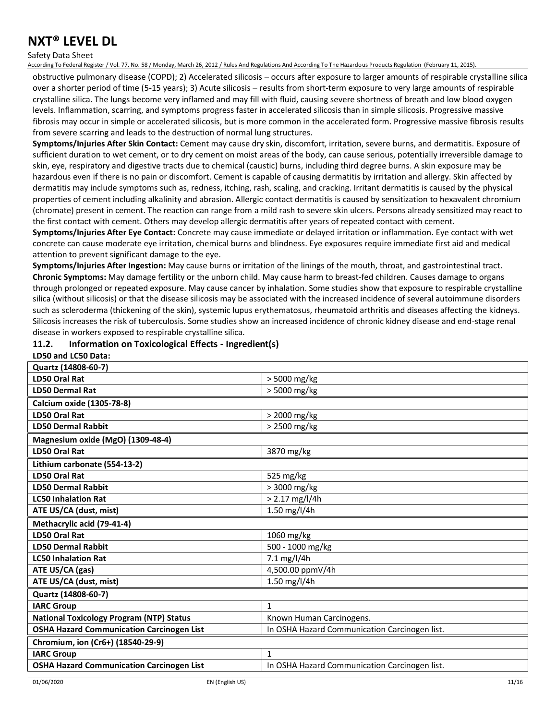#### Safety Data Sheet

According To Federal Register / Vol. 77, No. 58 / Monday, March 26, 2012 / Rules And Regulations And According To The Hazardous Products Regulation (February 11, 2015).

obstructive pulmonary disease (COPD); 2) Accelerated silicosis – occurs after exposure to larger amounts of respirable crystalline silica over a shorter period of time (5-15 years); 3) Acute silicosis – results from short-term exposure to very large amounts of respirable crystalline silica. The lungs become very inflamed and may fill with fluid, causing severe shortness of breath and low blood oxygen levels. Inflammation, scarring, and symptoms progress faster in accelerated silicosis than in simple silicosis. Progressive massive fibrosis may occur in simple or accelerated silicosis, but is more common in the accelerated form. Progressive massive fibrosis results from severe scarring and leads to the destruction of normal lung structures.

**Symptoms/Injuries After Skin Contact:** Cement may cause dry skin, discomfort, irritation, severe burns, and dermatitis. Exposure of sufficient duration to wet cement, or to dry cement on moist areas of the body, can cause serious, potentially irreversible damage to skin, eye, respiratory and digestive tracts due to chemical (caustic) burns, including third degree burns. A skin exposure may be hazardous even if there is no pain or discomfort. Cement is capable of causing dermatitis by irritation and allergy. Skin affected by dermatitis may include symptoms such as, redness, itching, rash, scaling, and cracking. Irritant dermatitis is caused by the physical properties of cement including alkalinity and abrasion. Allergic contact dermatitis is caused by sensitization to hexavalent chromium (chromate) present in cement. The reaction can range from a mild rash to severe skin ulcers. Persons already sensitized may react to the first contact with cement. Others may develop allergic dermatitis after years of repeated contact with cement.

**Symptoms/Injuries After Eye Contact:** Concrete may cause immediate or delayed irritation or inflammation. Eye contact with wet concrete can cause moderate eye irritation, chemical burns and blindness. Eye exposures require immediate first aid and medical attention to prevent significant damage to the eye.

**Symptoms/Injuries After Ingestion:** May cause burns or irritation of the linings of the mouth, throat, and gastrointestinal tract. **Chronic Symptoms:** May damage fertility or the unborn child. May cause harm to breast-fed children. Causes damage to organs through prolonged or repeated exposure. May cause cancer by inhalation. Some studies show that exposure to respirable crystalline silica (without silicosis) or that the disease silicosis may be associated with the increased incidence of several autoimmune disorders such as scleroderma (thickening of the skin), systemic lupus erythematosus, rheumatoid arthritis and diseases affecting the kidneys. Silicosis increases the risk of tuberculosis. Some studies show an increased incidence of chronic kidney disease and end-stage renal disease in workers exposed to respirable crystalline silica.

#### **11.2. Information on Toxicological Effects - Ingredient(s)**

| LD50 and LC50 Data:                              |                                               |
|--------------------------------------------------|-----------------------------------------------|
| Quartz (14808-60-7)                              |                                               |
| LD50 Oral Rat                                    | > 5000 mg/kg                                  |
| <b>LD50 Dermal Rat</b>                           | > 5000 mg/kg                                  |
| <b>Calcium oxide (1305-78-8)</b>                 |                                               |
| <b>LD50 Oral Rat</b>                             | > 2000 mg/kg                                  |
| <b>LD50 Dermal Rabbit</b>                        | > 2500 mg/kg                                  |
| Magnesium oxide (MgO) (1309-48-4)                |                                               |
| LD50 Oral Rat                                    | 3870 mg/kg                                    |
| Lithium carbonate (554-13-2)                     |                                               |
| <b>LD50 Oral Rat</b>                             | 525 mg/kg                                     |
| <b>LD50 Dermal Rabbit</b>                        | > 3000 mg/kg                                  |
| <b>LC50 Inhalation Rat</b>                       | $> 2.17$ mg/l/4h                              |
| ATE US/CA (dust, mist)                           | 1.50 mg/l/4h                                  |
| Methacrylic acid (79-41-4)                       |                                               |
| <b>LD50 Oral Rat</b>                             | 1060 mg/kg                                    |
| <b>LD50 Dermal Rabbit</b>                        | 500 - 1000 mg/kg                              |
| <b>LC50 Inhalation Rat</b>                       | 7.1 mg/l/4h                                   |
| ATE US/CA (gas)                                  | 4,500.00 ppmV/4h                              |
| ATE US/CA (dust, mist)                           | 1.50 mg/l/4h                                  |
| Quartz (14808-60-7)                              |                                               |
| <b>IARC Group</b>                                | $\mathbf{1}$                                  |
| <b>National Toxicology Program (NTP) Status</b>  | Known Human Carcinogens.                      |
| <b>OSHA Hazard Communication Carcinogen List</b> | In OSHA Hazard Communication Carcinogen list. |
| Chromium, ion (Cr6+) (18540-29-9)                |                                               |
| <b>IARC Group</b>                                | $\mathbf{1}$                                  |
| <b>OSHA Hazard Communication Carcinogen List</b> | In OSHA Hazard Communication Carcinogen list. |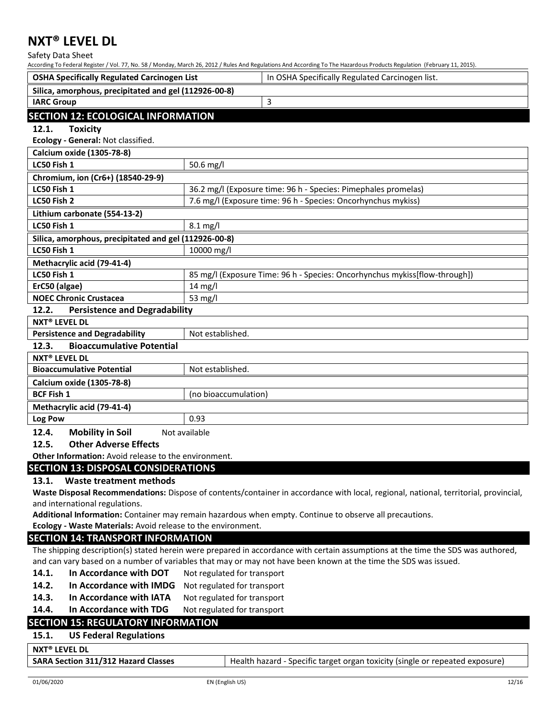Safety Data Sheet

| <b>OSHA Specifically Regulated Carcinogen List</b>                                                                                   | In OSHA Specifically Regulated Carcinogen list.                                                                                  |  |  |  |
|--------------------------------------------------------------------------------------------------------------------------------------|----------------------------------------------------------------------------------------------------------------------------------|--|--|--|
| Silica, amorphous, precipitated and gel (112926-00-8)                                                                                |                                                                                                                                  |  |  |  |
| <b>IARC Group</b>                                                                                                                    | 3                                                                                                                                |  |  |  |
| <b>SECTION 12: ECOLOGICAL INFORMATION</b>                                                                                            |                                                                                                                                  |  |  |  |
| 12.1.<br><b>Toxicity</b>                                                                                                             |                                                                                                                                  |  |  |  |
| Ecology - General: Not classified.                                                                                                   |                                                                                                                                  |  |  |  |
| Calcium oxide (1305-78-8)                                                                                                            |                                                                                                                                  |  |  |  |
| LC50 Fish 1                                                                                                                          | 50.6 mg/l                                                                                                                        |  |  |  |
| Chromium, ion (Cr6+) (18540-29-9)                                                                                                    |                                                                                                                                  |  |  |  |
| LC50 Fish 1                                                                                                                          | 36.2 mg/l (Exposure time: 96 h - Species: Pimephales promelas)                                                                   |  |  |  |
| LC50 Fish 2                                                                                                                          | 7.6 mg/l (Exposure time: 96 h - Species: Oncorhynchus mykiss)                                                                    |  |  |  |
| Lithium carbonate (554-13-2)                                                                                                         |                                                                                                                                  |  |  |  |
| LC50 Fish 1                                                                                                                          | $8.1$ mg/l                                                                                                                       |  |  |  |
| Silica, amorphous, precipitated and gel (112926-00-8)                                                                                |                                                                                                                                  |  |  |  |
| LC50 Fish 1                                                                                                                          | 10000 mg/l                                                                                                                       |  |  |  |
| Methacrylic acid (79-41-4)                                                                                                           |                                                                                                                                  |  |  |  |
| LC50 Fish 1                                                                                                                          | 85 mg/l (Exposure Time: 96 h - Species: Oncorhynchus mykiss[flow-through])                                                       |  |  |  |
| ErC50 (algae)                                                                                                                        | 14 mg/l                                                                                                                          |  |  |  |
| <b>NOEC Chronic Crustacea</b>                                                                                                        | 53 mg/l                                                                                                                          |  |  |  |
| 12.2.<br><b>Persistence and Degradability</b>                                                                                        |                                                                                                                                  |  |  |  |
| <b>NXT® LEVEL DL</b>                                                                                                                 |                                                                                                                                  |  |  |  |
| <b>Persistence and Degradability</b>                                                                                                 | Not established.                                                                                                                 |  |  |  |
| <b>Bioaccumulative Potential</b><br>12.3.                                                                                            |                                                                                                                                  |  |  |  |
| <b>NXT<sup>®</sup> LEVEL DL</b>                                                                                                      |                                                                                                                                  |  |  |  |
| <b>Bioaccumulative Potential</b>                                                                                                     | Not established.                                                                                                                 |  |  |  |
| Calcium oxide (1305-78-8)                                                                                                            |                                                                                                                                  |  |  |  |
| <b>BCF Fish 1</b>                                                                                                                    | (no bioaccumulation)                                                                                                             |  |  |  |
| Methacrylic acid (79-41-4)                                                                                                           |                                                                                                                                  |  |  |  |
| Log Pow                                                                                                                              | 0.93                                                                                                                             |  |  |  |
| 12.4.<br><b>Mobility in Soil</b>                                                                                                     | Not available                                                                                                                    |  |  |  |
| <b>Other Adverse Effects</b><br>12.5.                                                                                                |                                                                                                                                  |  |  |  |
| Other Information: Avoid release to the environment.                                                                                 |                                                                                                                                  |  |  |  |
| <b>SECTION 13: DISPOSAL CONSIDERATIONS</b>                                                                                           |                                                                                                                                  |  |  |  |
| 13.1.<br>Waste treatment methods                                                                                                     |                                                                                                                                  |  |  |  |
| Waste Disposal Recommendations: Dispose of contents/container in accordance with local, regional, national, territorial, provincial, |                                                                                                                                  |  |  |  |
| and international regulations.                                                                                                       |                                                                                                                                  |  |  |  |
|                                                                                                                                      | Additional Information: Container may remain hazardous when empty. Continue to observe all precautions.                          |  |  |  |
| Ecology - Waste Materials: Avoid release to the environment.<br><b>SECTION 14: TRANSPORT INFORMATION</b>                             |                                                                                                                                  |  |  |  |
|                                                                                                                                      | The shipping description(s) stated herein were prepared in accordance with certain assumptions at the time the SDS was authored, |  |  |  |
|                                                                                                                                      | and can vary based on a number of variables that may or may not have been known at the time the SDS was issued.                  |  |  |  |
| In Accordance with DOT<br>14.1.                                                                                                      | Not regulated for transport                                                                                                      |  |  |  |
| In Accordance with IMDG<br>14.2.                                                                                                     | Not regulated for transport                                                                                                      |  |  |  |
| 14.3.<br>In Accordance with IATA                                                                                                     | Not regulated for transport                                                                                                      |  |  |  |
| In Accordance with TDG<br>14.4.                                                                                                      | Not regulated for transport                                                                                                      |  |  |  |
| <b>SECTION 15: REGULATORY INFORMATION</b>                                                                                            |                                                                                                                                  |  |  |  |
| 15.1.<br><b>US Federal Regulations</b>                                                                                               |                                                                                                                                  |  |  |  |
|                                                                                                                                      |                                                                                                                                  |  |  |  |
| <b>NXT<sup>®</sup> LEVEL DL</b>                                                                                                      |                                                                                                                                  |  |  |  |
| <b>SARA Section 311/312 Hazard Classes</b>                                                                                           | Health hazard - Specific target organ toxicity (single or repeated exposure)                                                     |  |  |  |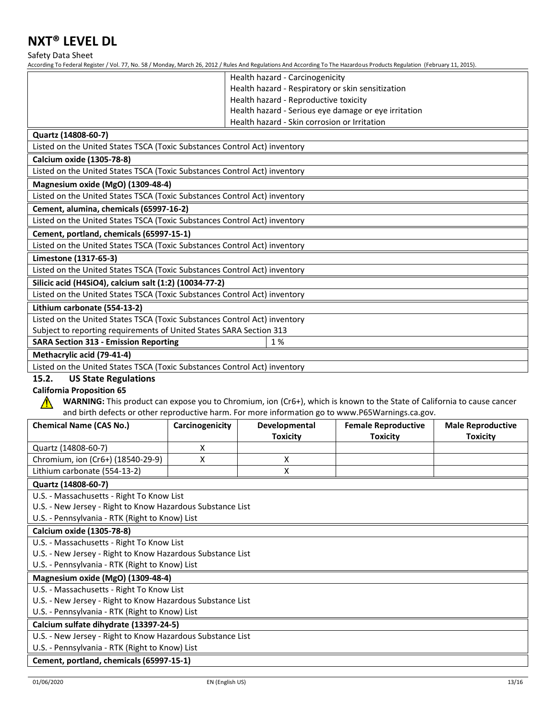Safety Data Sheet

| According To Federal Register / Vol. 77, No. 58 / Monday, March 26, 2012 / Rules And Regulations And According To The Hazardous Products Regulation (February 11, 2015). |                 |                                                   |                                                                                                                         |                          |
|--------------------------------------------------------------------------------------------------------------------------------------------------------------------------|-----------------|---------------------------------------------------|-------------------------------------------------------------------------------------------------------------------------|--------------------------|
|                                                                                                                                                                          |                 | Health hazard - Carcinogenicity                   |                                                                                                                         |                          |
|                                                                                                                                                                          |                 | Health hazard - Respiratory or skin sensitization |                                                                                                                         |                          |
|                                                                                                                                                                          |                 | Health hazard - Reproductive toxicity             |                                                                                                                         |                          |
|                                                                                                                                                                          |                 |                                                   | Health hazard - Serious eye damage or eye irritation                                                                    |                          |
|                                                                                                                                                                          |                 | Health hazard - Skin corrosion or Irritation      |                                                                                                                         |                          |
| Quartz (14808-60-7)                                                                                                                                                      |                 |                                                   |                                                                                                                         |                          |
| Listed on the United States TSCA (Toxic Substances Control Act) inventory                                                                                                |                 |                                                   |                                                                                                                         |                          |
| <b>Calcium oxide (1305-78-8)</b>                                                                                                                                         |                 |                                                   |                                                                                                                         |                          |
| Listed on the United States TSCA (Toxic Substances Control Act) inventory                                                                                                |                 |                                                   |                                                                                                                         |                          |
| Magnesium oxide (MgO) (1309-48-4)                                                                                                                                        |                 |                                                   |                                                                                                                         |                          |
| Listed on the United States TSCA (Toxic Substances Control Act) inventory                                                                                                |                 |                                                   |                                                                                                                         |                          |
| Cement, alumina, chemicals (65997-16-2)                                                                                                                                  |                 |                                                   |                                                                                                                         |                          |
| Listed on the United States TSCA (Toxic Substances Control Act) inventory                                                                                                |                 |                                                   |                                                                                                                         |                          |
| Cement, portland, chemicals (65997-15-1)                                                                                                                                 |                 |                                                   |                                                                                                                         |                          |
| Listed on the United States TSCA (Toxic Substances Control Act) inventory                                                                                                |                 |                                                   |                                                                                                                         |                          |
| Limestone (1317-65-3)                                                                                                                                                    |                 |                                                   |                                                                                                                         |                          |
| Listed on the United States TSCA (Toxic Substances Control Act) inventory                                                                                                |                 |                                                   |                                                                                                                         |                          |
| Silicic acid (H4SiO4), calcium salt (1:2) (10034-77-2)                                                                                                                   |                 |                                                   |                                                                                                                         |                          |
| Listed on the United States TSCA (Toxic Substances Control Act) inventory                                                                                                |                 |                                                   |                                                                                                                         |                          |
| Lithium carbonate (554-13-2)                                                                                                                                             |                 |                                                   |                                                                                                                         |                          |
| Listed on the United States TSCA (Toxic Substances Control Act) inventory                                                                                                |                 |                                                   |                                                                                                                         |                          |
| Subject to reporting requirements of United States SARA Section 313                                                                                                      |                 |                                                   |                                                                                                                         |                          |
| <b>SARA Section 313 - Emission Reporting</b>                                                                                                                             |                 | 1%                                                |                                                                                                                         |                          |
|                                                                                                                                                                          |                 |                                                   |                                                                                                                         |                          |
| Methacrylic acid (79-41-4)                                                                                                                                               |                 |                                                   |                                                                                                                         |                          |
| Listed on the United States TSCA (Toxic Substances Control Act) inventory                                                                                                |                 |                                                   |                                                                                                                         |                          |
| 15.2.<br><b>US State Regulations</b>                                                                                                                                     |                 |                                                   |                                                                                                                         |                          |
| <b>California Proposition 65</b>                                                                                                                                         |                 |                                                   |                                                                                                                         |                          |
|                                                                                                                                                                          |                 |                                                   | WARNING: This product can expose you to Chromium, ion (Cr6+), which is known to the State of California to cause cancer |                          |
|                                                                                                                                                                          |                 |                                                   | and birth defects or other reproductive harm. For more information go to www.P65Warnings.ca.gov.                        |                          |
| <b>Chemical Name (CAS No.)</b>                                                                                                                                           | Carcinogenicity | Developmental                                     | <b>Female Reproductive</b>                                                                                              | <b>Male Reproductive</b> |
|                                                                                                                                                                          |                 | <b>Toxicity</b>                                   | <b>Toxicity</b>                                                                                                         | <b>Toxicity</b>          |
| Quartz (14808-60-7)                                                                                                                                                      | x               |                                                   |                                                                                                                         |                          |
| Chromium, ion (Cr6+) (18540-29-9)                                                                                                                                        | X               | X                                                 |                                                                                                                         |                          |
| Lithium carbonate (554-13-2)                                                                                                                                             |                 | X                                                 |                                                                                                                         |                          |
| Quartz (14808-60-7)                                                                                                                                                      |                 |                                                   |                                                                                                                         |                          |
| U.S. - Massachusetts - Right To Know List                                                                                                                                |                 |                                                   |                                                                                                                         |                          |
| U.S. - New Jersey - Right to Know Hazardous Substance List                                                                                                               |                 |                                                   |                                                                                                                         |                          |
| U.S. - Pennsylvania - RTK (Right to Know) List                                                                                                                           |                 |                                                   |                                                                                                                         |                          |
| Calcium oxide (1305-78-8)                                                                                                                                                |                 |                                                   |                                                                                                                         |                          |
| U.S. - Massachusetts - Right To Know List<br>U.S. - New Jersey - Right to Know Hazardous Substance List                                                                  |                 |                                                   |                                                                                                                         |                          |
| U.S. - Pennsylvania - RTK (Right to Know) List                                                                                                                           |                 |                                                   |                                                                                                                         |                          |
| Magnesium oxide (MgO) (1309-48-4)                                                                                                                                        |                 |                                                   |                                                                                                                         |                          |
| U.S. - Massachusetts - Right To Know List                                                                                                                                |                 |                                                   |                                                                                                                         |                          |
| U.S. - New Jersey - Right to Know Hazardous Substance List                                                                                                               |                 |                                                   |                                                                                                                         |                          |
| U.S. - Pennsylvania - RTK (Right to Know) List                                                                                                                           |                 |                                                   |                                                                                                                         |                          |
| Calcium sulfate dihydrate (13397-24-5)                                                                                                                                   |                 |                                                   |                                                                                                                         |                          |
| U.S. - New Jersey - Right to Know Hazardous Substance List                                                                                                               |                 |                                                   |                                                                                                                         |                          |
| U.S. - Pennsylvania - RTK (Right to Know) List<br>Cement, portland, chemicals (65997-15-1)                                                                               |                 |                                                   |                                                                                                                         |                          |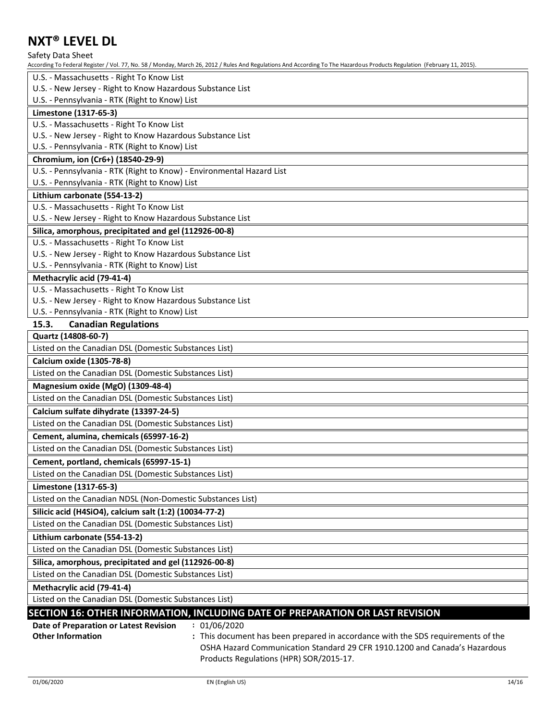Safety Data Sheet

According To Federal Register / Vol. 77, No. 58 / Monday, March 26, 2012 / Rules And Regulations And According To The Hazardous Products Regulation (February 11, 2015).

| U.S. - Massachusetts - Right To Know List                                                                    |
|--------------------------------------------------------------------------------------------------------------|
| U.S. - New Jersey - Right to Know Hazardous Substance List                                                   |
| U.S. - Pennsylvania - RTK (Right to Know) List                                                               |
| Limestone (1317-65-3)                                                                                        |
| U.S. - Massachusetts - Right To Know List                                                                    |
| U.S. - New Jersey - Right to Know Hazardous Substance List                                                   |
| U.S. - Pennsylvania - RTK (Right to Know) List                                                               |
| Chromium, ion (Cr6+) (18540-29-9)                                                                            |
| U.S. - Pennsylvania - RTK (Right to Know) - Environmental Hazard List                                        |
| U.S. - Pennsylvania - RTK (Right to Know) List                                                               |
| Lithium carbonate (554-13-2)                                                                                 |
| U.S. - Massachusetts - Right To Know List                                                                    |
| U.S. - New Jersey - Right to Know Hazardous Substance List                                                   |
| Silica, amorphous, precipitated and gel (112926-00-8)                                                        |
| U.S. - Massachusetts - Right To Know List                                                                    |
| U.S. - New Jersey - Right to Know Hazardous Substance List<br>U.S. - Pennsylvania - RTK (Right to Know) List |
| Methacrylic acid (79-41-4)                                                                                   |
| U.S. - Massachusetts - Right To Know List                                                                    |
| U.S. - New Jersey - Right to Know Hazardous Substance List                                                   |
| U.S. - Pennsylvania - RTK (Right to Know) List                                                               |
| 15.3.<br><b>Canadian Regulations</b>                                                                         |
| Quartz (14808-60-7)                                                                                          |
| Listed on the Canadian DSL (Domestic Substances List)                                                        |
| Calcium oxide (1305-78-8)                                                                                    |
| Listed on the Canadian DSL (Domestic Substances List)                                                        |
| Magnesium oxide (MgO) (1309-48-4)                                                                            |
| Listed on the Canadian DSL (Domestic Substances List)                                                        |
| Calcium sulfate dihydrate (13397-24-5)                                                                       |
| Listed on the Canadian DSL (Domestic Substances List)                                                        |
| Cement, alumina, chemicals (65997-16-2)                                                                      |
| Listed on the Canadian DSL (Domestic Substances List)                                                        |
| Cement, portland, chemicals (65997-15-1)                                                                     |
| Listed on the Canadian DSL (Domestic Substances List)                                                        |
| Limestone (1317-65-3)                                                                                        |
| Listed on the Canadian NDSL (Non-Domestic Substances List)                                                   |
| Silicic acid (H4SiO4), calcium salt (1:2) (10034-77-2)                                                       |
| Listed on the Canadian DSL (Domestic Substances List)                                                        |
|                                                                                                              |
| Lithium carbonate (554-13-2)                                                                                 |
| Listed on the Canadian DSL (Domestic Substances List)                                                        |
| Silica, amorphous, precipitated and gel (112926-00-8)                                                        |
| Listed on the Canadian DSL (Domestic Substances List)                                                        |
| Methacrylic acid (79-41-4)                                                                                   |
| Listed on the Canadian DSL (Domestic Substances List)                                                        |
| SECTION 16: OTHER INFORMATION, INCLUDING DATE OF PREPARATION OR LAST REVISION                                |
| Date of Preparation or Latest Revision<br>: 01/06/2020                                                       |
| <b>Other Information</b><br>: This document has been prepared in accordance with the SDS requirements of the |
| OSHA Hazard Communication Standard 29 CFR 1910.1200 and Canada's Hazardous                                   |

Products Regulations (HPR) SOR/2015-17.

٦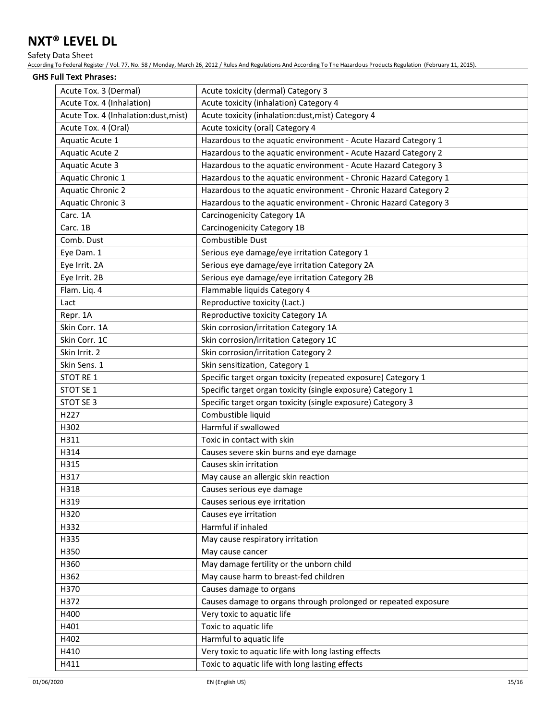### Safety Data Sheet

According To Federal Register / Vol. 77, No. 58 / Monday, March 26, 2012 / Rules And Regulations And According To The Hazardous Products Regulation (February 11, 2015).

#### **GHS Full Text Phrases:**

| Acute Tox. 3 (Dermal)                | Acute toxicity (dermal) Category 3                               |
|--------------------------------------|------------------------------------------------------------------|
| Acute Tox. 4 (Inhalation)            | Acute toxicity (inhalation) Category 4                           |
| Acute Tox. 4 (Inhalation:dust, mist) | Acute toxicity (inhalation:dust, mist) Category 4                |
| Acute Tox. 4 (Oral)                  | Acute toxicity (oral) Category 4                                 |
| Aquatic Acute 1                      | Hazardous to the aquatic environment - Acute Hazard Category 1   |
| Aquatic Acute 2                      | Hazardous to the aquatic environment - Acute Hazard Category 2   |
| Aquatic Acute 3                      | Hazardous to the aquatic environment - Acute Hazard Category 3   |
| Aquatic Chronic 1                    | Hazardous to the aquatic environment - Chronic Hazard Category 1 |
| Aquatic Chronic 2                    | Hazardous to the aquatic environment - Chronic Hazard Category 2 |
| Aquatic Chronic 3                    | Hazardous to the aquatic environment - Chronic Hazard Category 3 |
| Carc. 1A                             | Carcinogenicity Category 1A                                      |
| Carc. 1B                             | Carcinogenicity Category 1B                                      |
| Comb. Dust                           | Combustible Dust                                                 |
| Eye Dam. 1                           | Serious eye damage/eye irritation Category 1                     |
| Eye Irrit. 2A                        | Serious eye damage/eye irritation Category 2A                    |
| Eye Irrit. 2B                        | Serious eye damage/eye irritation Category 2B                    |
| Flam. Liq. 4                         | Flammable liquids Category 4                                     |
| Lact                                 | Reproductive toxicity (Lact.)                                    |
| Repr. 1A                             | Reproductive toxicity Category 1A                                |
| Skin Corr. 1A                        | Skin corrosion/irritation Category 1A                            |
| Skin Corr. 1C                        | Skin corrosion/irritation Category 1C                            |
| Skin Irrit. 2                        | Skin corrosion/irritation Category 2                             |
| Skin Sens. 1                         | Skin sensitization, Category 1                                   |
| STOT RE 1                            | Specific target organ toxicity (repeated exposure) Category 1    |
| STOT SE 1                            | Specific target organ toxicity (single exposure) Category 1      |
| STOT SE 3                            | Specific target organ toxicity (single exposure) Category 3      |
| H227                                 | Combustible liquid                                               |
| H302                                 | Harmful if swallowed                                             |
| H311                                 | Toxic in contact with skin                                       |
| H314                                 | Causes severe skin burns and eye damage                          |
| H315                                 | Causes skin irritation                                           |
| H317                                 | May cause an allergic skin reaction                              |
| H318                                 | Causes serious eye damage                                        |
| H319                                 | Causes serious eye irritation                                    |
| H320                                 | Causes eye irritation                                            |
| H332                                 | Harmful if inhaled                                               |
| H335                                 | May cause respiratory irritation                                 |
| H350                                 | May cause cancer                                                 |
| H360                                 | May damage fertility or the unborn child                         |
| H362                                 | May cause harm to breast-fed children                            |
| H370                                 | Causes damage to organs                                          |
| H372                                 | Causes damage to organs through prolonged or repeated exposure   |
| H400                                 | Very toxic to aquatic life                                       |
| H401                                 | Toxic to aquatic life                                            |
| H402                                 | Harmful to aquatic life                                          |
| H410                                 | Very toxic to aquatic life with long lasting effects             |
| H411                                 | Toxic to aquatic life with long lasting effects                  |
|                                      |                                                                  |